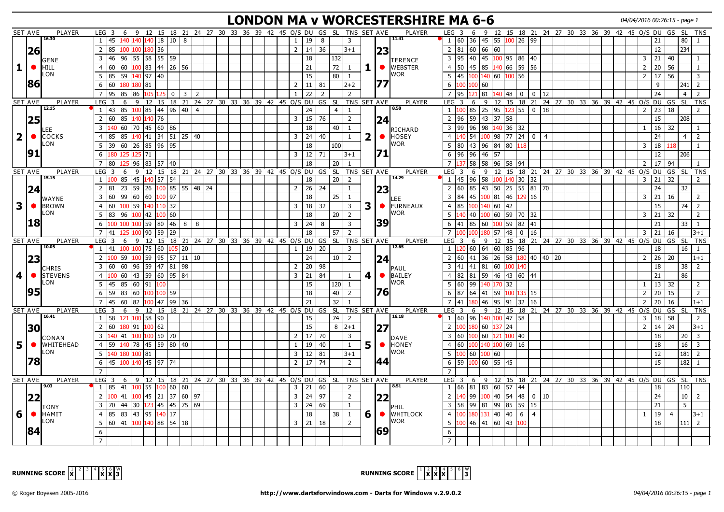# **LONDON MA v WORCESTERSHIRE MA 6-6** 04/04/2016 00:26:15 - page 1

|                | <b>SET AVE</b> | PLAYER                | LEG 3                                                         | 6 9 12 15 18 21 24 27 30 33 36 39 42 45 0/S DU GS SL TNS SET AVE                                                                         |                                               |     |  |                                            |                      |                 |                |              |             | <b>PLAYER</b>               | LEG 3                             |      |                             |       |                                       |             |                                                   |  |  |                |                | 6 9 12 15 18 21 24 27 30 33 36 39 42 45 0/S DU GS SL | TNS                          |
|----------------|----------------|-----------------------|---------------------------------------------------------------|------------------------------------------------------------------------------------------------------------------------------------------|-----------------------------------------------|-----|--|--------------------------------------------|----------------------|-----------------|----------------|--------------|-------------|-----------------------------|-----------------------------------|------|-----------------------------|-------|---------------------------------------|-------------|---------------------------------------------------|--|--|----------------|----------------|------------------------------------------------------|------------------------------|
|                |                | 16.30                 | $1 \mid 45$                                                   | 140 140 140 18 10 8                                                                                                                      |                                               |     |  | $\mathbf{1}$                               | 19                   | 8               | 3              |              |             | 11.41                       | 1 60                              |      | 36 45 55                    |       | $100$ 26 99                           |             |                                                   |  |  |                | 21             | 80                                                   | $\overline{1}$               |
|                | 26             |                       | 2 85                                                          | 100 100 180 36                                                                                                                           |                                               |     |  |                                            | $2^{\circ}$<br>14    | 36              | $3 + 1$        |              | 23          |                             | $2 \mid 81$                       |      | 60 66 60                    |       |                                       |             |                                                   |  |  |                | 12             | 234                                                  |                              |
|                |                |                       | 46<br>$\overline{3}$                                          | 96   55   58   55   59                                                                                                                   |                                               |     |  |                                            | 18                   | 132             |                |              |             |                             | 95<br>$\overline{3}$              |      |                             |       | 40  45   <mark>100</mark>  95  86  40 |             |                                                   |  |  | 3              | 21             | 40                                                   | -1                           |
| 1              | $\bullet$      | GENE<br><b>HILL</b>   | $\overline{4}$                                                |                                                                                                                                          |                                               |     |  |                                            | 21                   | 72              | 1              |              | $\bullet$   | TERENCE<br><b>I</b> WEBSTER | 4 <sup>1</sup><br>50              |      | 45 85 140                   |       | 66 59 56                              |             |                                                   |  |  | $2^{\circ}$    | 20 56          |                                                      | -1                           |
|                |                | LON                   |                                                               |                                                                                                                                          |                                               |     |  |                                            |                      |                 |                |              |             | <b>I</b> WOR                |                                   |      |                             |       |                                       |             |                                                   |  |  |                |                |                                                      |                              |
|                | 86             |                       | 5<br>l 85                                                     | $59 \mid 140 \mid 97 \mid 40$                                                                                                            |                                               |     |  |                                            | 15                   | 80              | $\mathbf{1}$   |              |             |                             | 45<br>5                           | 100  | 140 60                      |       | 100 56                                |             |                                                   |  |  | $\overline{2}$ | 17             | 56                                                   | $\overline{3}$               |
|                |                |                       | 6<br>60                                                       | 181<br>80                                                                                                                                |                                               |     |  | $2^{\circ}$                                | 11                   | 81              | $2+2$          |              |             |                             | 6<br><b>LOC</b>                   | 100  | 60                          |       |                                       |             |                                                   |  |  |                | 9              | 241                                                  | $\sqrt{2}$                   |
|                |                |                       | $\overline{7}$<br>95                                          | 85 86<br>105<br><b>L25</b>                                                                                                               | 3<br>$\mathbf{0}$                             | 2   |  | $\mathbf{1}$                               | 22                   | $\overline{2}$  | $\overline{2}$ |              |             |                             | 95                                |      | $\overline{81}$<br>140      | 48    | $\mathbf 0$                           | $0 \mid 12$ |                                                   |  |  |                | 24             | $\overline{4}$                                       | 2                            |
|                | SET AVE        | PLAYER                | $LEG$ 3                                                       | 6 9 12 15 18 21 24 27 30 33 36 39 42 45 0/S DU GS SL                                                                                     |                                               |     |  |                                            |                      |                 |                |              | TNS SET AVE | PLAYER                      | LEG <sub>3</sub>                  |      |                             |       |                                       |             | 6 9 12 15 18 21 24 27 30 33 36 39 42 45 0/S DU GS |  |  |                |                | <b>SL</b>                                            | <b>TNS</b>                   |
|                |                | 12.15                 | 1   43                                                        | 85   <mark>100</mark>   85   44   96   40   4                                                                                            |                                               |     |  |                                            | 24                   | $\overline{4}$  | $\mathbf{1}$   |              |             | 8.58                        | 1 100                             | 85   | 25 95                       |       | 123 55 0 18                           |             |                                                   |  |  | $\overline{2}$ | 23             | 18                                                   | 2                            |
|                | 25             |                       | 60  <br>85<br>2                                               | 140 76<br>40                                                                                                                             |                                               |     |  | $\overline{3}$                             | 15                   | 76              | $\overline{2}$ |              | 24          |                             | $\overline{2}$<br>96              |      | 59 43 37                    | 58    |                                       |             |                                                   |  |  |                | 15             | 208                                                  |                              |
|                |                | LEE                   |                                                               | 3  140  60   70   45   60   86                                                                                                           |                                               |     |  |                                            | 18                   | 40              | $\mathbf{1}$   |              |             | <b>RICHARD</b>              | $3 \mid 99$                       |      | $96$ 98 140 36 32           |       |                                       |             |                                                   |  |  | -1             | $16$ 32        |                                                      | -1                           |
| $\overline{2}$ | $\bullet$      | COCKS                 | $\overline{4}$<br>185                                         | 85  140  41  34  51  25  40                                                                                                              |                                               |     |  |                                            | $\mathbf{3}$<br>24   | 40              | $\mathbf{1}$   | $\mathbf{2}$ | $\bullet$   | <b>HOSEY</b>                | $\overline{4}$<br> 40             | 54   | 100 98                      |       | $177$ $124$ $10$ $14$                 |             |                                                   |  |  |                | 24             | $\overline{4}$                                       | $\overline{2}$               |
|                |                | LON                   | 5                                                             | 39 60 26 85 96 95                                                                                                                        |                                               |     |  |                                            | 18                   | 100             |                |              |             | <b>I</b> WOR                | 5 <sub>1</sub><br>80              |      | 43  96  84                  |       | 80 118                                |             |                                                   |  |  | 3              | $\frac{1}{2}$  | 118                                                  | $\mathbf{1}$                 |
|                | 91             |                       | 6<br>180                                                      | l 71<br>125 125                                                                                                                          |                                               |     |  |                                            | 12<br>$\mathbf{3}$   | 71              | $3 + 1$        |              |             |                             | 96<br>6                           | 96   | 46 57                       |       |                                       |             |                                                   |  |  |                | 12             | 206                                                  |                              |
|                |                |                       | $\overline{7}$<br>l 80                                        | 96   83   57   40                                                                                                                        |                                               |     |  |                                            | 18                   | 20              | $\mathbf{1}$   |              |             |                             | $\overline{7}$                    |      | 58 58 96                    |       | 58 94                                 |             |                                                   |  |  | $\overline{2}$ | 17             | 94                                                   |                              |
|                | SET AVE        | <b>PLAYER</b>         | LEG <sub>3</sub><br>6                                         | 9۰                                                                                                                                       |                                               |     |  | 12 15 18 21 24 27 30 33 36 39 42 45 0/S DU |                      | GS SL           |                |              | TNS SET AVE | <b>PLAYER</b>               | LEG <sub>3</sub>                  | 6    | -9                          |       |                                       |             | 12 15 18 21 24 27 30 33 36 39 42 45 0/S DU        |  |  |                |                | GS<br>- SL                                           | <b>TNS</b>                   |
|                |                | 15.15                 |                                                               | $1 \vert 100 \vert 85 \vert 45 \vert 140 \vert 57 \vert 54$                                                                              |                                               |     |  |                                            | 18                   | $\overline{20}$ | $\overline{2}$ |              |             | 14.29                       | $1 \vert 45$                      |      | 96  58   <mark>100</mark>   |       | 140 30 32                             |             |                                                   |  |  | 3              | $\frac{1}{21}$ | 32                                                   | 2                            |
|                | 24             |                       | 2   81                                                        | 23 59                                                                                                                                    | $26 \mid 100 \mid 85 \mid 55 \mid 48 \mid 24$ |     |  | $2^{\circ}$                                | 26                   | 24              | $\mathbf{1}$   |              | 23          |                             | 2 60                              | 85   | 43  50                      |       | $25 \mid 55 \mid 81 \mid 70$          |             |                                                   |  |  |                | 24             | 32                                                   |                              |
|                |                |                       | 3 60                                                          | 99 60<br> 60 100 97                                                                                                                      |                                               |     |  |                                            | 18                   | 25              | $\mathbf{1}$   |              |             |                             | $\overline{3}$<br>84              | 45   | 100 81                      | 46    | 129 16                                |             |                                                   |  |  | 3              | 21             | 16                                                   | $\overline{2}$               |
| 3              | $\bullet$      | WAYNE<br><b>BROWN</b> | $ 60\rangle$<br>$\overline{4}$                                | 100 59<br>140 110 32                                                                                                                     |                                               |     |  | 3                                          | 18                   | 32              | $\mathbf{3}$   | 3            | $\bullet$   | .EE<br>FURNEAUX             | 85<br>4 <sup>1</sup>              | 100  | 140 60                      | 42    |                                       |             |                                                   |  |  |                | 15             | 74                                                   | $\overline{2}$               |
|                |                | LON                   | 5 83                                                          | 96 100 42                                                                                                                                | 100 60                                        |     |  |                                            | 18                   | 20              | $\overline{2}$ |              |             | <b>I</b> WOR                | 5<br>140                          | l 40 | LOO   60                    |       | 59 70 32                              |             |                                                   |  |  | 3              | $\vert$ 21     | 32                                                   | $\overline{2}$               |
|                | 18             |                       |                                                               |                                                                                                                                          |                                               |     |  |                                            |                      |                 |                |              | 39          |                             |                                   |      |                             |       |                                       |             |                                                   |  |  |                |                |                                                      |                              |
|                |                |                       | 6<br>100                                                      | 100 100 59 80 46                                                                                                                         | 8                                             | l 8 |  | $\mathbf{3}$                               | 24                   | 8               | 3              |              |             |                             | 6<br>41                           | 85   | 60   100                    |       | 59 82 41                              |             |                                                   |  |  |                | 21             | 33                                                   | $\mathbf{1}$                 |
|                |                |                       | $\overline{7}$<br>41                                          | 90<br>59<br>00                                                                                                                           | 29                                            |     |  |                                            | 18                   | 57              | $\overline{2}$ |              |             |                             | $\overline{7}$                    |      | 80 57                       | 48    | $\mathbf 0$                           | 16          |                                                   |  |  | 3              | $\frac{1}{21}$ | 16                                                   | 3+1                          |
|                | SET AVE        | PLAYER<br>10.05       | $LEG$ 3<br>6<br>1   41                                        | 9 12 15 18 21 24 27 30 33 36 39 42 45 0/S DU GS SL<br>100 100 75 60 105 20                                                               |                                               |     |  |                                            | 1<br>19              | 20              | 3              |              | TNS SET AVE | <b>PLAYER</b><br>12.65      | LEG <sub>3</sub><br>$1 \vert 120$ | 6    | 9 12<br> 60  64  60  85  96 |       |                                       |             | 15 18 21 24 27 30 33 36 39 42 45 0/S DU GS        |  |  |                | 18             | <b>SL</b><br>16                                      | <b>TNS</b><br>$\overline{1}$ |
|                |                |                       |                                                               |                                                                                                                                          |                                               |     |  |                                            |                      |                 |                |              |             |                             |                                   |      |                             |       |                                       |             |                                                   |  |  |                |                |                                                      | $1+1$                        |
|                |                |                       |                                                               |                                                                                                                                          |                                               |     |  |                                            |                      |                 |                |              |             |                             | $\overline{2}$<br>60              |      |                             |       |                                       |             |                                                   |  |  |                |                |                                                      |                              |
|                | 23             |                       |                                                               | 2 $\left  \frac{100}{59} \right $ 59 $\left  \frac{100}{59} \right $ 59 $\left  \frac{95}{57} \right $ 11 $\left  \frac{10}{10} \right $ |                                               |     |  |                                            | 24                   | 10              | $\overline{2}$ |              | 24          |                             |                                   |      |                             |       |                                       |             | 41 36 26 58 180 40 40 20                          |  |  |                | $2 \mid 26$    | 20                                                   |                              |
|                |                | <b>CHRIS</b>          | 60<br>$\overline{3}$<br>160                                   | 59 47 81<br>96                                                                                                                           | 98                                            |     |  | $2^{\circ}$                                | 20                   | 98              |                |              |             | IPAUL                       | $\overline{3}$<br>41              | 41   | 81<br>60                    | 100   | 140                                   |             |                                                   |  |  |                | 18             | 38                                                   | $\overline{2}$               |
| 4              |                | STEVENS               | $\overline{4}$                                                | 60 43 59 60 95 84                                                                                                                        |                                               |     |  | $\overline{3}$                             | 21                   | 84              | $\mathbf{1}$   | 4            | $\bullet$   | BAILEY                      | 82<br>$\overline{4}$              | 81   | 59 46                       |       | 43 60 44                              |             |                                                   |  |  |                | 21             | 86                                                   |                              |
|                |                | LON                   | $5 \mid 45$                                                   | 85 60 91<br>100                                                                                                                          |                                               |     |  |                                            | 15                   | 120             | $\mathbf{1}$   |              |             | <b>I</b> WOR                | 5 60                              | 99   | 140 170                     | 32    |                                       |             |                                                   |  |  | -1             | $13 \mid 32$   |                                                      | 2                            |
|                | 95             |                       | 6<br>l 59                                                     | 83 60 100 100 59                                                                                                                         |                                               |     |  |                                            | 18                   | 40              | $\overline{2}$ |              | l76l        |                             | $6 \mid 87$                       | 64   | 41  59                      | 100 l | 135   15                              |             |                                                   |  |  | $\overline{2}$ | 20             | 15                                                   | $\overline{2}$               |
|                |                |                       | 60<br>$\overline{7}$<br>45                                    | 82                                                                                                                                       | 100 47 99 36                                  |     |  |                                            | 21                   | 32              | $\overline{1}$ |              |             |                             | 41<br>$7^{\circ}$                 |      | 46<br>95                    | 91    | 32<br>16                              |             |                                                   |  |  | $\overline{2}$ | 20             | 16                                                   | $1 + 1$                      |
|                | SET AVE        | <b>PLAYER</b>         | LEG <sub>3</sub><br>6                                         | 9                                                                                                                                        |                                               |     |  | 12 15 18 21 24 27 30 33 36 39 42 45 0/S DU |                      | GS SL           |                |              | TNS SET AVE | <b>PLAYER</b>               | LEG<br>3                          | 6    | 9<br>12                     |       |                                       |             | 15 18 21 24 27 30 33 36 39 42 45 0/S              |  |  |                | <b>DU</b>      | GS<br>- SL                                           | <b>TNS</b>                   |
|                |                | 16.41                 | $1 \mid 58$                                                   | 121 100 58 90                                                                                                                            |                                               |     |  |                                            | 15                   | 74              | $\overline{2}$ |              |             | 16.18                       | 160196                            |      | 140 100 47 58               |       |                                       |             |                                                   |  |  | 3              | 18 58          |                                                      | $\overline{2}$               |
|                |                |                       | 2 60                                                          | 180   91   100   62                                                                                                                      |                                               |     |  |                                            | 15                   |                 | $8 2+1 $       |              |             |                             | 2                                 | 180  | 60 137                      | 24    |                                       |             |                                                   |  |  | $\overline{2}$ | 14             | 24                                                   | 3+1                          |
|                | 30             |                       |                                                               | 3 140 41 100 100 50 70                                                                                                                   |                                               |     |  | $2^{\circ}$                                | 17 <sup>1</sup>      | 70              | 3              |              | 27          |                             | $\overline{3}$<br>60              |      | 100 60 121                  |       | 100 40                                |             |                                                   |  |  |                | 18             | 20                                                   | $\overline{\mathbf{3}}$      |
|                | $\bullet$      | CONAN<br>WHITEHEAD    | $\overline{4}$<br>59                                          |                                                                                                                                          |                                               |     |  | $\mathbf{1}$                               | 19                   | 40              | $\mathbf{1}$   |              | $\bullet$   | ∥DAVE<br><b>IHONEY</b>      | $\overline{4}$<br>60              | 100  | 140 100                     |       | 69 16                                 |             |                                                   |  |  |                | 18             | 16                                                   | $\overline{3}$               |
| 5              |                | LON                   | 5<br>140<br>180                                               | 140 78 45 59 80 40                                                                                                                       |                                               |     |  | $\overline{3}$                             |                      |                 |                | 5.           |             | <b>I</b> WOR                | 5 <sup>5</sup><br>10C             | 60   |                             |       |                                       |             |                                                   |  |  |                | 12             |                                                      | $\overline{2}$               |
|                |                |                       |                                                               | 100 81                                                                                                                                   |                                               |     |  |                                            | 12                   | 81              | $3 + 1$        |              |             |                             |                                   |      | 100 60                      |       |                                       |             |                                                   |  |  |                |                | 181                                                  |                              |
|                | 78             |                       | 45<br>6                                                       | 100 140 45 97 74                                                                                                                         |                                               |     |  | $2^{\circ}$                                | 17                   | 74              | $\overline{2}$ |              | 44          |                             | 59<br>6                           | 100  | 60 55                       | 45    |                                       |             |                                                   |  |  |                | 15             | 182                                                  | $\overline{1}$               |
|                |                |                       |                                                               |                                                                                                                                          |                                               |     |  |                                            |                      |                 |                |              |             |                             |                                   |      |                             |       |                                       |             |                                                   |  |  |                |                |                                                      |                              |
|                | <b>SET AVE</b> | <b>PLAYER</b><br>9.03 | LEG <sub>3</sub>                                              | 6 9 12 15 18 21 24 27 30 33 36 39 42 45 0/S DU GS SL                                                                                     |                                               |     |  |                                            |                      |                 |                |              | TNS SET AVE | <b>PLAYER</b><br>8.51       | LEG <sub>3</sub>                  |      |                             |       |                                       |             | 6 9 12 15 18 21 24 27 30 33 36 39 42 45 O/S DU GS |  |  |                |                | <b>SL</b>                                            | <b>TNS</b>                   |
|                |                |                       | $1 \,   85 \,   41 \,   100 \,   55 \,   100 \,   60 \,   60$ |                                                                                                                                          |                                               |     |  |                                            | $\overline{3}$<br>21 | 60              | $\overline{2}$ |              |             |                             | 1 66                              |      | 81 83 60 57 44              |       |                                       |             |                                                   |  |  |                | 18             | 110                                                  |                              |
|                | 22             |                       | 2 100                                                         | 41  100   45   21   37   60   97                                                                                                         |                                               |     |  | $\overline{3}$                             | 24                   | 97              | $\overline{2}$ |              | 22          |                             | $\overline{2}$                    | 99   | 100 40                      |       | $\sqrt{54}$ 48 $\sqrt{0}$ 10          |             |                                                   |  |  |                | 24             | 10                                                   | l 2                          |
|                |                | <b>TONY</b>           | 3 70                                                          | 44  30   <mark>123</mark>  45  45  75  69                                                                                                |                                               |     |  | $\mathbf{3}$                               | 24                   | 69              | $\mathbf{1}$   |              |             | PHIL                        | 3 58                              |      | 99  81  99                  |       | 85 59 15                              |             |                                                   |  |  |                | 21             | 5                                                    |                              |
| 6              | $\bullet$      | <b>HAMIT</b>          | $\overline{4}$<br>85                                          | 83 43 95 140 17                                                                                                                          |                                               |     |  |                                            | 18                   | 38              | $\mathbf{1}$   | 6            | $\bullet$   | <b>I</b> WHITLOCK           | 4 100                             | 180  | 131 40                      | 40    | 6<br>l 4                              |             |                                                   |  |  | $\mathbf{1}$   | 19             | $\overline{4}$                                       | $3+1$                        |
|                |                | LON                   | 5                                                             |                                                                                                                                          |                                               |     |  |                                            | 21<br>3 <sup>1</sup> | 18              | $\overline{2}$ |              |             | <b>I</b> WOR                | $5\overline{100}$                 |      | 46   41   60                |       | 43 100                                |             |                                                   |  |  |                | 18             |                                                      | $111$ 2                      |
|                | 84             |                       | 6                                                             |                                                                                                                                          |                                               |     |  |                                            |                      |                 |                |              | 69          |                             | 6                                 |      |                             |       |                                       |             |                                                   |  |  |                |                |                                                      |                              |



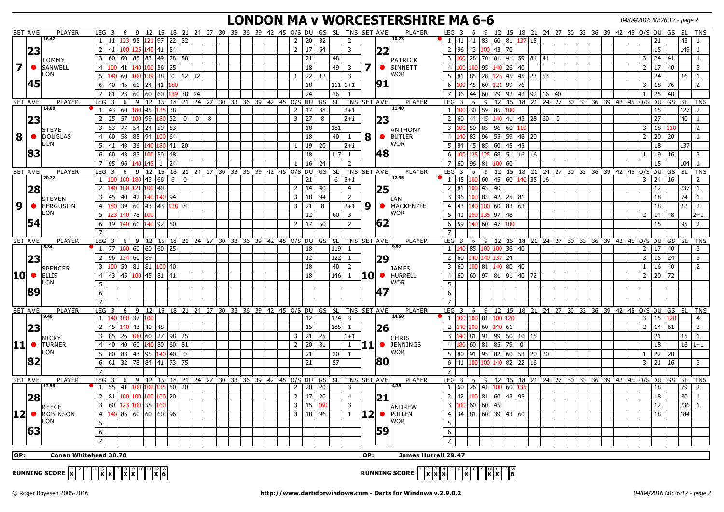#### **LONDON MA v WORCESTERSHIRE MA 6-6** 04/04/2016 00:26:17 - page 2

|                         | <b>SET AVE</b> | PLAYER                                                                                                                      | LEG <sub>3</sub>      |                                                                          | 6 9                              |               |                    |                     |                |   |  |  | 12 15 18 21 24 27 30 33 36 39 42 45 O/S DU                       |             | GS SL |              | TNS SET AVE       |       |           | <b>PLAYER</b>                                                                                                          | LEG <sub>3</sub> |              | 6                        |           |              |                             |              |  |  | 9 12 15 18 21 24 27 30 33 36 39 42 45 O/S DU GS SL      |                |    |           | <b>TNS</b>           |  |
|-------------------------|----------------|-----------------------------------------------------------------------------------------------------------------------------|-----------------------|--------------------------------------------------------------------------|----------------------------------|---------------|--------------------|---------------------|----------------|---|--|--|------------------------------------------------------------------|-------------|-------|--------------|-------------------|-------|-----------|------------------------------------------------------------------------------------------------------------------------|------------------|--------------|--------------------------|-----------|--------------|-----------------------------|--------------|--|--|---------------------------------------------------------|----------------|----|-----------|----------------------|--|
|                         |                | 16.47                                                                                                                       |                       | $1 \mid 11 \mid 123 \mid 95$                                             |                                  |               |                    | 121 97 22 32        |                |   |  |  | $\overline{2}$                                                   | 20          | 32    |              | $\overline{2}$    |       |           | 10.23                                                                                                                  |                  | $1 \quad 41$ |                          |           |              | 41 83 60 81 137 15          |              |  |  |                                                         |                | 21 |           | 43<br>$\mathbf{1}$   |  |
|                         |                |                                                                                                                             | $\overline{2}$<br>41  | 00                                                                       |                                  | 41<br>40      | 54                 |                     |                |   |  |  | $2^{\circ}$                                                      | 17          | 54    |              | $\overline{3}$    |       |           |                                                                                                                        | $\overline{2}$   | 96           | 43<br>00                 | 43        | 70           |                             |              |  |  |                                                         |                | 15 |           | 149<br>$\mathbf{1}$  |  |
|                         | 23             |                                                                                                                             |                       |                                                                          |                                  |               |                    |                     |                |   |  |  |                                                                  |             |       |              |                   |       | 22        |                                                                                                                        |                  |              |                          |           |              |                             |              |  |  |                                                         |                |    |           |                      |  |
|                         |                | TOMMY                                                                                                                       | $\overline{3}$        | 60                                                                       | 60 85                            |               |                    | 83 49 28 88         |                |   |  |  |                                                                  | 21          |       | 48           |                   |       |           | PATRICK                                                                                                                | $\mathbf{3}$     | 100          | 28<br>70                 |           |              | 81 41 59 81 41              |              |  |  |                                                         | 3              | 24 | 41        | 1                    |  |
| $\overline{\mathbf{z}}$ |                | SANWELL                                                                                                                     | $\overline{4}$        | 41                                                                       | 140                              | 100 36        | 35                 |                     |                |   |  |  |                                                                  | 18          |       | 49           | $\overline{3}$    | 7     |           | SINNETT                                                                                                                | $\overline{4}$   |              | 95                       | 140       | $26 \mid 40$ |                             |              |  |  |                                                         | $\overline{2}$ | 17 | 40        | $\overline{3}$       |  |
|                         |                | LON                                                                                                                         | 5                     | 140 60                                                                   | 100                              | 38<br>139     |                    | $0 \mid 12 \mid 12$ |                |   |  |  | $\mathbf{1}$                                                     | 22          | 12    |              | 3                 |       |           | <b>I</b> WOR                                                                                                           |                  | $5 \quad 81$ | 85<br>28                 | 125       |              | 45 45 23 53                 |              |  |  |                                                         |                | 24 |           | 16<br>$\mathbf{1}$   |  |
|                         | 45             |                                                                                                                             | 6<br>40               | 45                                                                       | 60                               | 24  41        |                    |                     |                |   |  |  |                                                                  | 18          |       | $111 1+1$    |                   |       | 91        |                                                                                                                        | 6                |              | 45<br>60                 |           | 99 76        |                             |              |  |  |                                                         | 3              | 18 | 76        | 2                    |  |
|                         |                |                                                                                                                             | $7^{\circ}$<br>81     | 23                                                                       | 60                               | l 60<br>160   |                    | 139   38            | l 24           |   |  |  |                                                                  | 24          |       | 16           | $\mathbf{1}$      |       |           |                                                                                                                        | $\overline{7}$   | 36           | 44<br>60                 | 79        |              | $92$   42   92              | $16 \mid 40$ |  |  |                                                         | $\mathbf{1}$   | 25 | 40        |                      |  |
|                         |                | PLAYER                                                                                                                      | LEG<br>$\overline{3}$ |                                                                          |                                  |               |                    |                     |                |   |  |  | 6 9 12 15 18 21 24 27 30 33 36 39 42 45 0/S DU                   |             |       |              | GS SL TNS SET AVE |       |           | PLAYER                                                                                                                 | LEG <sub>3</sub> |              | 6<br>9                   | 12        |              |                             |              |  |  | 15 18 21 24 27 30 33 36 39 42 45 0/S DU GS              |                |    | - SL      | <b>TNS</b>           |  |
|                         | SET AVE        | 14.00                                                                                                                       |                       |                                                                          |                                  |               |                    |                     |                |   |  |  |                                                                  |             |       |              |                   |       |           | 11.40                                                                                                                  |                  |              |                          |           |              |                             |              |  |  |                                                         |                |    |           |                      |  |
|                         |                |                                                                                                                             | 1   43                | 60                                                                       | 180                              | 45            | 38<br>35           |                     |                |   |  |  |                                                                  | $2 \mid 17$ | 38    |              | $ 2+1 $           |       |           |                                                                                                                        | 1 100            |              | 30<br>59                 | 85        | 100          |                             |              |  |  |                                                         |                | 15 |           | 127<br>2             |  |
|                         | 23             |                                                                                                                             | $\overline{2}$<br>25  | 57                                                                       | 100                              | 99            | 80                 | 32 0                | $\overline{0}$ | 8 |  |  | $\overline{3}$                                                   | 27          | 8     |              | $2 + 1$           |       | 23        |                                                                                                                        | 2 60             |              | 44<br>45                 |           |              | $140$ 41 43 28 60 0         |              |  |  |                                                         |                | 27 |           | 40<br>-1             |  |
|                         |                | <b>STEVE</b>                                                                                                                | $\overline{3}$<br>53  | 77                                                                       | 54 24 59                         |               | 53                 |                     |                |   |  |  |                                                                  | 18          |       | 181          |                   |       |           | ANTHONY                                                                                                                | $\overline{3}$   |              | 50<br>85                 |           | 96 60 110    |                             |              |  |  |                                                         | 3              | 18 | 110       | 2                    |  |
| 8                       |                | O DOUGLAS                                                                                                                   | $\overline{4}$<br>60  | 58                                                                       | 85                               | 94 100 64     |                    |                     |                |   |  |  |                                                                  | 18          |       | 40           | -1                | 8     | $\bullet$ | BUTLER                                                                                                                 | $\overline{4}$   | 40           | 83<br>96                 |           |              | 55 59 48 20                 |              |  |  |                                                         | $\overline{2}$ | 20 | 20        | $\mathbf{1}$         |  |
|                         |                | LON                                                                                                                         | 5<br>41               | 43                                                                       | 36                               | 140 180 41 20 |                    |                     |                |   |  |  | $\mathbf{1}$                                                     | 19          | 20    |              | $12+1$            |       |           | <b>I</b> WOR                                                                                                           | 5                | 84           | 45<br>85                 |           | 60 45 45     |                             |              |  |  |                                                         |                | 18 |           | 137                  |  |
|                         | 83             |                                                                                                                             | 6                     | $60 \mid 43 \mid 83$                                                     |                                  | 100 50        | 48                 |                     |                |   |  |  |                                                                  | 18          |       | $117$   1    |                   |       | 48        |                                                                                                                        | 6                | .00          | 125<br>25                |           |              | 68   51   16   16           |              |  |  |                                                         | $\mathbf{1}$   | 19 | 16        | $\overline{3}$       |  |
|                         |                |                                                                                                                             |                       |                                                                          |                                  |               |                    |                     |                |   |  |  |                                                                  |             |       |              |                   |       |           |                                                                                                                        |                  |              |                          |           |              |                             |              |  |  |                                                         |                |    |           |                      |  |
|                         |                |                                                                                                                             | $7^{\circ}$<br>95     | 96                                                                       | 140                              | 145           | 24<br>$\mathbf{1}$ |                     |                |   |  |  | $\mathbf{1}$                                                     | 16          | 24    |              | 2                 |       |           |                                                                                                                        |                  | 7 60         | 96 81                    | 100       | 60           |                             |              |  |  |                                                         |                | 15 |           | 104                  |  |
|                         | SET AVE        | PLAYER                                                                                                                      | LEG <sub>3</sub>      |                                                                          |                                  |               |                    |                     |                |   |  |  | 6 9 12 15 18 21 24 27 30 33 36 39 42 45 O/S DU GS SL TNS SET AVE |             |       |              |                   |       |           | PLAYER                                                                                                                 | LEG <sub>3</sub> |              | 6                        |           |              |                             |              |  |  | .<br>9 12 15 18 21 24 27 30 33 36 39 42 45 O/S DU GS SL |                |    |           | <b>TNS</b>           |  |
|                         |                | 20.72                                                                                                                       |                       | $1 \vert 100 \vert 100 \vert 180 \vert 43 \vert 66 \vert 6 \vert 0$      |                                  |               |                    |                     |                |   |  |  |                                                                  | 21          |       | $6 \mid 3+1$ |                   |       |           | 12.35                                                                                                                  | $1 \vert 45$     |              |                          |           |              | 100 60 45 60 140 35 16      |              |  |  |                                                         | 3              | 24 | 16        | 2                    |  |
|                         | 28             |                                                                                                                             | $\overline{2}$        | 140                                                                      | 100 121                          | 100   40      |                    |                     |                |   |  |  |                                                                  | $2 \mid 14$ | 40    |              | $\overline{4}$    |       | 25        |                                                                                                                        |                  | 2 81         | 43                       | l 40      |              |                             |              |  |  |                                                         |                | 12 |           | 237<br>$\mathbf{1}$  |  |
|                         |                | <b>STEVEN</b>                                                                                                               | 3 45                  |                                                                          | 40 42                            | 140 140 94    |                    |                     |                |   |  |  | $\overline{3}$                                                   | 18          | 94    |              | $\overline{2}$    |       |           | ∥IAN                                                                                                                   | 3                | 96           | 100   83   42   25   81  |           |              |                             |              |  |  |                                                         |                | 18 |           | 74<br>-1             |  |
| 9                       |                | <b>• FERGUSON</b>                                                                                                           | $\overline{4}$        |                                                                          | 39  60  43  43 <mark> 128</mark> |               |                    | 8                   |                |   |  |  | $\overline{3}$                                                   | 21          | 8     |              | $2+1$             | 9     | $\bullet$ | MACKENZIE                                                                                                              |                  | 4 43         | 140 100 60 83 63         |           |              |                             |              |  |  |                                                         |                | 18 |           | 12<br>2              |  |
|                         |                | LON                                                                                                                         | 5                     | 123 140 78                                                               |                                  | 100           |                    |                     |                |   |  |  |                                                                  | 12          |       | $60 \mid 3$  |                   |       |           | <b>I</b> WOR                                                                                                           |                  | $5 \quad 41$ | 180 I                    | 135 97 48 |              |                             |              |  |  |                                                         | 2              | 14 | 48        | $ 2+1 $              |  |
|                         | 54             |                                                                                                                             | 6                     | 19 $\left  \frac{140}{60} \right  60$ $\left  \frac{140}{92} \right  50$ |                                  |               |                    |                     |                |   |  |  |                                                                  | $2 \mid 17$ | 50    |              | $\overline{2}$    |       | 62        |                                                                                                                        | $6\overline{6}$  | 59           | 140   60   47            |           | 100          |                             |              |  |  |                                                         |                | 15 |           | 95<br>$\overline{2}$ |  |
|                         |                |                                                                                                                             |                       |                                                                          |                                  |               |                    |                     |                |   |  |  |                                                                  |             |       |              |                   |       |           |                                                                                                                        |                  |              |                          |           |              |                             |              |  |  |                                                         |                |    |           |                      |  |
|                         |                |                                                                                                                             | $\overline{7}$        |                                                                          |                                  |               |                    |                     |                |   |  |  |                                                                  |             |       |              |                   |       |           |                                                                                                                        | $\overline{7}$   |              |                          |           |              |                             |              |  |  |                                                         |                |    |           |                      |  |
|                         | <b>SET AVE</b> | PLAYER<br>5.34                                                                                                              | LEG <sub>3</sub>      |                                                                          |                                  |               |                    |                     |                |   |  |  | 6 9 12 15 18 21 24 27 30 33 36 39 42 45 O/S DU GS SL             |             |       |              | TNS SET AVE       |       |           | PLAYER<br>$\sqrt{9.97}$                                                                                                | LEG <sub>3</sub> |              |                          |           |              |                             |              |  |  | 6 9 12 15 18 21 24 27 30 33 36 39 42 45 0/S DU          |                |    | -SL<br>GS | <b>TNS</b>           |  |
|                         |                |                                                                                                                             | $1 \mid 77$           |                                                                          | $100$ 60 60 60 $25$              |               |                    |                     |                |   |  |  |                                                                  | 18          |       | $119$ 1      |                   |       |           |                                                                                                                        | 1 140            |              | 85 100 100 36 40         |           |              |                             |              |  |  |                                                         | $\overline{2}$ | 17 | 40        | $\overline{3}$       |  |
|                         | 23             |                                                                                                                             | 2 <sup>1</sup><br>96  |                                                                          | 134 60 89                        |               |                    |                     |                |   |  |  |                                                                  | 12          |       | 122          | $\overline{1}$    |       | 29        |                                                                                                                        |                  | $2 \quad 60$ | 140 I                    | 140 137   | 24           |                             |              |  |  |                                                         | 3              | 15 | 24        | $\overline{3}$       |  |
|                         |                | <b>SPENCER</b>                                                                                                              |                       | 3 100 59 81 81 100 40                                                    |                                  |               |                    |                     |                |   |  |  |                                                                  | 18          |       | 40           | 2                 |       |           | <b>DAMES</b>                                                                                                           | $\overline{3}$   | 60           | 100   81   140   80   40 |           |              |                             |              |  |  |                                                         | $\mathbf{1}$   | 16 | 40        | 2                    |  |
| <b>10</b>               |                | $\bullet$ ELLIS                                                                                                             | 4 <sup>1</sup><br>43  | 45                                                                       | 100                              | 45  81        | l 41               |                     |                |   |  |  |                                                                  | 18          |       | $146$ 1      |                   | 10    | $\bullet$ | HURRELL                                                                                                                |                  | 4 60         |                          |           |              | 60   97   81   91   40   72 |              |  |  |                                                         | 2              | 20 | 72        |                      |  |
|                         |                | LON                                                                                                                         | 5                     |                                                                          |                                  |               |                    |                     |                |   |  |  |                                                                  |             |       |              |                   |       |           | lwor                                                                                                                   | 5                |              |                          |           |              |                             |              |  |  |                                                         |                |    |           |                      |  |
|                         | 89             |                                                                                                                             | 6                     |                                                                          |                                  |               |                    |                     |                |   |  |  |                                                                  |             |       |              |                   |       | 47        |                                                                                                                        | 6                |              |                          |           |              |                             |              |  |  |                                                         |                |    |           |                      |  |
|                         |                |                                                                                                                             | $\overline{7}$        |                                                                          |                                  |               |                    |                     |                |   |  |  |                                                                  |             |       |              |                   |       |           |                                                                                                                        | $\overline{7}$   |              |                          |           |              |                             |              |  |  |                                                         |                |    |           |                      |  |
|                         |                |                                                                                                                             |                       |                                                                          |                                  |               |                    |                     |                |   |  |  |                                                                  |             |       |              |                   |       |           |                                                                                                                        |                  |              |                          |           |              |                             |              |  |  |                                                         |                |    |           | <b>SL</b>            |  |
|                         | <b>SET AVE</b> | PLAYER<br>9.40                                                                                                              | LEG <sub>3</sub>      |                                                                          |                                  |               |                    |                     |                |   |  |  | 6 9 12 15 18 21 24 27 30 33 36 39 42 45 0/S DU GS SL TNS SET AVE |             |       |              |                   |       |           | PLAYER<br>14.60                                                                                                        | LEG <sub>3</sub> | 1 100        | 6                        |           |              |                             |              |  |  | 9 12 15 18 21 24 27 30 33 36 39 42 45 0/S DU GS         | 3              |    |           | <b>TNS</b>           |  |
|                         |                |                                                                                                                             | 1 <sup>1</sup>        | 140 100 37                                                               |                                  | 100           |                    |                     |                |   |  |  |                                                                  | 12          |       | $124$ 3      |                   |       |           |                                                                                                                        |                  |              | 100 81                   | 100       | L20          |                             |              |  |  |                                                         |                | 15 | 120       | $\overline{4}$       |  |
|                         | 23             |                                                                                                                             | $2^{\circ}$           | 45                                                                       | 140 43                           | 40   48       |                    |                     |                |   |  |  |                                                                  | 15          |       | $185$ 1      |                   |       | 26        |                                                                                                                        | $2^{\circ}$      |              | 60                       |           | 140 61       |                             |              |  |  |                                                         | $\overline{2}$ | 14 | 61        | $\overline{3}$       |  |
|                         |                | <b>NICKY</b>                                                                                                                | $\overline{3}$        | 85                                                                       | 26 180 60 27 98 25               |               |                    |                     |                |   |  |  | 3 <sup>7</sup>                                                   | $\vert$ 21  | 25    |              | $1+1$             |       |           | <b>CHRIS</b>                                                                                                           | $\overline{3}$   |              | 81 91                    |           |              | 99   50   10   15           |              |  |  |                                                         |                | 21 |           | 15<br>$\mathbf{1}$   |  |
|                         |                | $ 11 $ $\bullet$ TURNER                                                                                                     | $\overline{4}$<br>40  |                                                                          | 40 60                            | 140 80 60 81  |                    |                     |                |   |  |  |                                                                  | $2 \mid 20$ | 81    |              | $\mathbf{1}$      | 11I • |           | JENNINGS                                                                                                               | $\overline{4}$   |              | 81<br>60                 | 85        | $79$ 0       |                             |              |  |  |                                                         |                | 18 |           | $16 1+1$             |  |
|                         |                | LON                                                                                                                         | 5 <sup>5</sup><br>80  | 83                                                                       | 43                               | 95 140        |                    | 40 0                |                |   |  |  |                                                                  | 21          |       | $20 \mid 1$  |                   |       |           | <b>I</b> WOR                                                                                                           | 5                | 80           | $91$   95                |           |              | 82  60  53  20  20          |              |  |  |                                                         | 1              | 22 | 20        |                      |  |
|                         | 82             |                                                                                                                             | 6                     | 61 32 78 84 41 73 75                                                     |                                  |               |                    |                     |                |   |  |  |                                                                  | 21          |       | 57           |                   |       | 80        |                                                                                                                        | 6                | 41           | 100 100 140 82 22        |           |              | 16                          |              |  |  |                                                         | $\overline{3}$ | 21 | 16        | $\overline{3}$       |  |
|                         |                |                                                                                                                             | $\overline{7}$        |                                                                          |                                  |               |                    |                     |                |   |  |  |                                                                  |             |       |              |                   |       |           |                                                                                                                        | $\overline{7}$   |              |                          |           |              |                             |              |  |  |                                                         |                |    |           |                      |  |
|                         | SET AVE        | PLAYER                                                                                                                      | LEG <sub>3</sub>      |                                                                          |                                  |               |                    | 6 9 12 15 18 21     |                |   |  |  | 24  27  30  33  36  39  42  45  0/S  DU  GS  SL                  |             |       |              | TNS SET AVE       |       |           | PLAYER                                                                                                                 | LEG <sub>3</sub> |              |                          |           |              |                             |              |  |  | 6 9 12 15 18 21 24 27 30 33 36 39 42 45 O/S DU GS SL    |                |    |           | <b>TNS</b>           |  |
|                         |                | 12.58                                                                                                                       |                       | 1   55   41   100   100   135   50   20                                  |                                  |               |                    |                     |                |   |  |  | 2 <sup>1</sup>                                                   | 20   20     |       |              | 3                 |       |           | 4.35                                                                                                                   |                  | 1 60         | 26 41 100 60 135         |           |              |                             |              |  |  |                                                         |                | 18 |           | 79<br>2              |  |
|                         |                |                                                                                                                             |                       |                                                                          |                                  |               |                    |                     |                |   |  |  |                                                                  |             |       |              |                   |       |           |                                                                                                                        |                  |              |                          |           |              |                             |              |  |  |                                                         |                |    |           |                      |  |
|                         | 28             |                                                                                                                             | 2 <sup>1</sup><br>81  | 100                                                                      | 100                              | 100           | 20<br>100          |                     |                |   |  |  | $\overline{2}$                                                   | 17          | 20    |              | $\overline{4}$    |       | 21        |                                                                                                                        | $2 \mid 42$      |              | 100   81                 |           | 60 43 95     |                             |              |  |  |                                                         |                | 18 |           | 80<br>$\mathbf{1}$   |  |
|                         |                | REECE                                                                                                                       | 3                     | 60                                                                       | 23 100                           | 58            |                    |                     |                |   |  |  | 3 <sup>1</sup>                                                   | 15          | 160   |              | 3                 |       |           | ANDREW                                                                                                                 |                  | 3 100        | $60 \mid 60$             | 145       |              |                             |              |  |  |                                                         |                | 12 |           | 236                  |  |
|                         | $ 12  \bullet$ | <b>ROBINSON</b>                                                                                                             | $\overline{4}$        | 140 85 60 60 60 96                                                       |                                  |               |                    |                     |                |   |  |  |                                                                  | $3 \mid 18$ | 96    |              | $\mathbf{1}$      | 12    | $\bullet$ | <b>PULLEN</b>                                                                                                          |                  | $4 \mid 34$  | 81 60 39 43 60           |           |              |                             |              |  |  |                                                         |                | 18 |           | 184                  |  |
|                         |                | LON                                                                                                                         | 5                     |                                                                          |                                  |               |                    |                     |                |   |  |  |                                                                  |             |       |              |                   |       |           | <b>I</b> WOR                                                                                                           | $\overline{5}$   |              |                          |           |              |                             |              |  |  |                                                         |                |    |           |                      |  |
|                         | 63             |                                                                                                                             | 6                     |                                                                          |                                  |               |                    |                     |                |   |  |  |                                                                  |             |       |              |                   |       | 59        |                                                                                                                        | 6                |              |                          |           |              |                             |              |  |  |                                                         |                |    |           |                      |  |
|                         |                |                                                                                                                             | $\overline{7}$        |                                                                          |                                  |               |                    |                     |                |   |  |  |                                                                  |             |       |              |                   |       |           |                                                                                                                        | $\overline{7}$   |              |                          |           |              |                             |              |  |  |                                                         |                |    |           |                      |  |
|                         |                |                                                                                                                             |                       |                                                                          |                                  |               |                    |                     |                |   |  |  |                                                                  |             |       |              |                   |       |           |                                                                                                                        |                  |              |                          |           |              |                             |              |  |  |                                                         |                |    |           |                      |  |
| OP:                     |                | Conan Whitehead 30.78                                                                                                       |                       |                                                                          |                                  |               |                    |                     |                |   |  |  |                                                                  |             |       |              |                   | OP:   |           | James Hurrell 29.47                                                                                                    |                  |              |                          |           |              |                             |              |  |  |                                                         |                |    |           |                      |  |
|                         |                |                                                                                                                             |                       |                                                                          |                                  |               |                    |                     |                |   |  |  |                                                                  |             |       |              |                   |       |           |                                                                                                                        |                  |              |                          |           |              |                             |              |  |  |                                                         |                |    |           |                      |  |
|                         |                | RUNNING SCORE $\begin{bmatrix} 1 & 2 & 3 & 4 & 5 & 6 & 7 & 8 & 9 & 10 & 11 & 12 \\ 1 & 1 & 1 & 2 & 3 & 6 & 8 \end{bmatrix}$ |                       |                                                                          |                                  |               |                    |                     |                |   |  |  |                                                                  |             |       |              |                   |       |           | RUNNING SCORE $\begin{bmatrix} 1 & 2 & 3 & 4 & 5 & 6 & 7 & 8 & 9 & 10 & 11 & 12 \ 1 & 1 & 2 & 3 & 6 & 8 \end{bmatrix}$ |                  |              |                          |           |              |                             |              |  |  |                                                         |                |    |           |                      |  |

**RUNNING SCORE**  $\vert x \vert^2 \vert^3 \vert^4 \vert x \vert^5 \vert^7 \vert x \vert^3 \vert^1 \vert x \vert^2 \vert^1 \vert x \vert^3$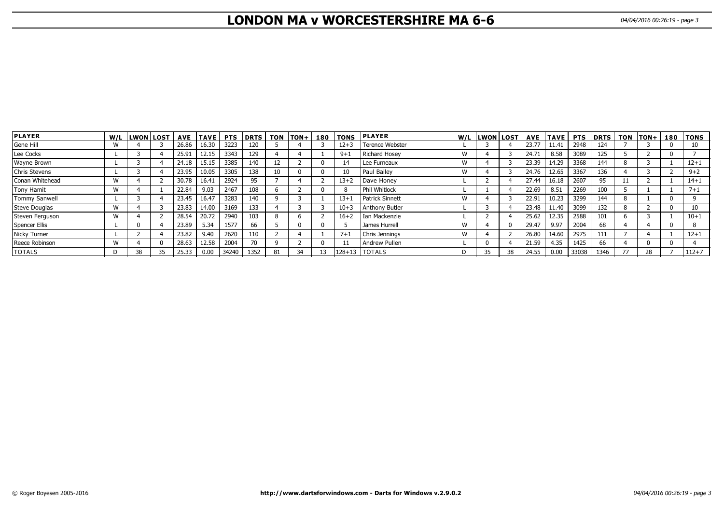# **LONDON MA v WORCESTERSHIRE MA 6-6** 04/04/2016 00:26:19 - page 3

| <b>PLAYER</b>        |              | W/L LWON LOST |    | AVE I | TAVE  | <b>PTS</b> | DRTS | <b>TON</b> | $ TON+ $ | 180 | <b>TONS</b> | <b>PLAYER</b>          |   | W/L LWON LOST |    |       | AVE TAVE | <b>PTS</b> | <b>DRTS</b> | <b>TON</b> | $ TON+$ | 180 | TONS      |
|----------------------|--------------|---------------|----|-------|-------|------------|------|------------|----------|-----|-------------|------------------------|---|---------------|----|-------|----------|------------|-------------|------------|---------|-----|-----------|
| Gene Hill            | W            |               |    | 26.86 | 16.30 | 3223       | 120  |            |          |     | $12 + 3$    | <b>Terence Webster</b> |   |               |    | 23.77 | 11.41    | 2948       | 124         |            |         |     | 10        |
| Lee Cocks            |              |               |    | 25.91 | 12.15 | 3343       | 129  |            |          |     | $9 + 1$     | Richard Hosey          | W |               |    | 24.71 | 8.58     | 3089       | 125         |            |         |     |           |
| Wayne Brown          |              |               |    | 24.18 | 15.15 | 3385       | 140  | ÎΖ         |          |     | 14          | Lee Furneaux           | W |               |    | 23.39 | 14.29    | 3368       | 144         |            |         |     | $12 + 1$  |
| Chris Stevens        |              |               |    | 23.95 | 10.05 | 3305       | 138  | 10         |          |     |             | l Paul Bailev          | W |               |    | 24.76 | 12.65    | 3367       | 136         |            |         |     | $9 + 2$   |
| Conan Whitehead      | W            |               |    | 30.78 | 16.41 | 2924       | 95   |            |          |     | $13 + 2$    | Dave Honey             |   |               |    | 27.44 | 16.18    | 2607       | 95          |            |         |     | $14 + 1$  |
| Tony Hamit           | W            |               |    | 22.84 | 9.03  | 2467       | 108  |            |          |     |             | Phil Whitlock          |   |               |    | 22.69 | 8.51     | 2269       | 100         |            |         |     | $7 + 1$   |
| <b>Tommy Sanwell</b> |              |               |    | 23.45 | 16.47 | 3283       | 140  |            |          |     | $13 + 1$    | Patrick Sinnett        | W |               |    | 22.91 | 10.23    | 3299       | 144         |            |         |     |           |
| Steve Douglas        | W            |               |    | 23.83 | 14.00 | 3169       | 133  |            |          |     | $10 + 3$    | <b>Anthony Butler</b>  |   |               |    | 23.48 | 11.40    | 3099       | 132         |            |         |     | 10        |
| Steven Ferguson      | W            |               |    | 28.54 | 20.72 | 2940       | 103  |            |          |     | $16 + 2$    | I Ian Mackenzie        |   |               |    | 25.62 | 12.35    | 2588       | 101         |            |         |     | $10 + 1$  |
| Spencer Ellis        |              |               |    | 23.89 | 5.34  | 1577       | 66   |            |          |     |             | James Hurrell          | W |               |    | 29.47 | 9.97     | 2004       | 68          |            |         |     |           |
| Nicky Turner         |              |               |    | 23.82 | 9.40  | 2620       | 110  |            |          |     | $7+1$       | Chris Jennings         | W |               |    | 26.80 | 14.60    | 2975       | 111         |            |         |     | $12 + 1$  |
| Reece Robinson       | $\mathbf{M}$ |               |    | 28.63 | 12.58 | 2004       |      |            |          |     |             | Andrew Pullen          |   |               |    | 21.59 | 4.35     | 1425       | 66          |            |         |     |           |
| <b>TOTALS</b>        |              | 38            | 35 | 25.33 | 0.00  | 34240      | 1352 | 81         | 34       | 13  |             | $128+13$   TOTALS      | D | 35            | 38 | 24.55 | 0.00     | 33038      | 1346        | 77         | 28      |     | $112 + 7$ |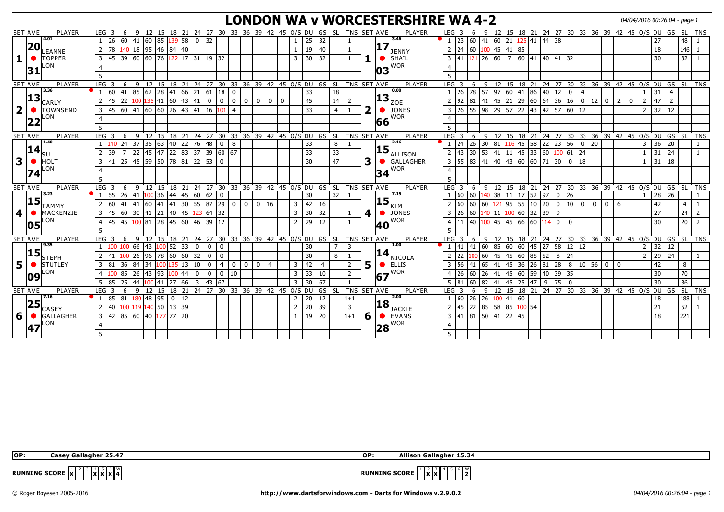#### **LONDON WA v WORCESTERSHIRE WA 4-2** 04/04/2016 00:26:04 - page 1

| <b>SET AVE</b><br>PLAYER<br>9 12 15 18 21 24 27 30 33 36 39 42 45 O/S DU GS SL<br>TNS SET AVE<br><b>PLAYER</b><br>LEG <sub>3</sub><br>9 12 15 18 21 24 27 30 33 36 39 42 45 O/S DU GS SL TNS<br>LEG <sub>3</sub><br>6<br>6<br>4.01<br>3.46<br>26 60<br>$ 41 $ 60 85<br>139 58<br>$\begin{array}{ c c } \hline 0 & 32 \end{array}$<br>$1 \mid 23 \mid 60 \mid 41 \mid 60 \mid 21 \mid 125 \mid 41 \mid 44 \mid 38$<br>32<br>25<br>27<br>$\overline{1}$<br>$\mathbf{1}$<br> 17 <br> 20<br>140 18 95 46 84 40<br>$\boxed{60}$ $\boxed{100}$ 45 41 85<br>$2 \mid 24$<br>78<br>2<br>19<br>40<br>18<br>$\mathbf{1}$<br>LEANNE<br><b>JENNY</b><br>$3   45   39   60   60   76   122   17   31   19   32$<br>$121$ 26 60 7 60 41 40 41<br>$\overline{3}$<br>30<br>32<br>$3 \mid 41$<br>$\bullet$ SHAIL<br><b>TOPPER</b><br>32<br>30 <sup>°</sup><br>1<br>$\bullet$<br><b>WOR</b><br>LON<br> 31<br>03<br>5<br>9 12 15 18 21 24 27 30 33 36 39 42 45 0/S DU GS SL<br>9 12 15 18 21 24 27 30 33 36 39 42 45 O/S DU GS SL TNS<br>$LEG$ 3<br>6<br>TNS SET AVE<br>LEG <sup>3</sup><br>6<br><b>SET AVE</b><br>PLAYER<br>PLAYER<br>3.36<br>0.00<br>85 62 28 41 66 21 61 18<br>97<br>41<br>33<br>$1 \overline{26}$<br>78 57<br>31<br>$\overline{4}$<br>$\overline{4}$<br>l 60<br>18<br>$\overline{0}$<br>$\mathbf 0$<br> 13 <br> 13 <br>22<br>100 135 41 60 43 41<br>$21$ 29 60 64 36<br>45<br>$2$ 92<br>45<br>16 0<br>47<br>45<br>$\overline{0}$<br>$\overline{0}$<br>$\mathbf 0$<br>$\mathbf 0$<br>81  41 <br>$ 12\rangle$<br>$\mathbf{0}$<br>$\mathbf{0}$<br>$\mathbf 0$<br>14<br>$\mathbf 0$<br>2<br>2<br>$\overline{2}$<br>2<br>$\Omega$<br>CARLY<br><b>ZOE</b><br>$\overline{2}$<br>2<br>57 22 43 42 57<br> 45 60<br> 41 60 60 <br>26 43 41 16 101<br>33<br>$\bullet$ DONES<br>$55 \ 98$<br>129<br>$\sqrt{60}$   12<br>$32$ 12<br>26<br><b>TOWNSEND</b><br>$\overline{3}$<br>$\overline{2}$<br>$\overline{3}$<br>$\bullet$<br>$\overline{4}$<br>4<br><b>WOR</b><br>LON<br> 22<br>66<br>5<br>.5<br>9 12 15 18 21 24 27 30 33 36 39 42 45 0/S DU GS SL<br>SET AVE<br><b>PLAYER</b><br>TNS SET AVE<br><b>PLAYER</b><br>LEG <sub>3</sub><br>9 12 15 18 21 24 27 30 33 36 39 42 45 O/S DU GS SL<br>LEG <sub>3</sub><br>-6<br>6<br>1.40<br>2.16<br>$116$ 45 58 22 23<br>24<br>40 22 76<br>48<br>$1 \overline{24}$<br>$26 \mid 30$<br>36 20<br>37<br>$\begin{array}{c} \boxed{35} \end{array}$<br>63<br>33<br>56 0 20<br>$\overline{0}$<br>81<br>8<br>8<br>3<br>$\left 15\right _{\text{ALLISON}}$<br> 14 <br>22 83 37 39 60 67<br>$ 47\rangle$<br>$2 \mid 43$<br> 30   53   41   11   45   33   60   <mark>100</mark>   61   24<br>$31 \mid 24$<br>22<br>145<br>33<br>33<br>39<br>3<br>3<br>25 45 59 50 78 81 22 53 0<br>$3 \mid 55 \mid 83 \mid 41 \mid 40 \mid 43 \mid 60 \mid 60 \mid 71 \mid 30$<br>$0$ 18<br>30 <sup>°</sup><br>47<br>$\bullet$<br>$31 \mid 18$<br><b>HOLT</b><br>$\overline{3}$<br>GALLAGHER<br>l 41<br>LON<br><b>WOR</b><br>34<br>5 <sup>1</sup><br>PLAYER<br>9 12 15 18 21 24 27 30 33 36 39 42 45 O/S DU GS SL TNS SET AVE<br>PLAYER<br>9 12 15 18 21 24 27 30 33 36 39 42 45 0/S DU GS SL TNS<br>SET AVE<br>$LEG$ 3<br>LEG <sub>3</sub><br>6<br>6<br>3.23<br> 36 <br>7.15<br>52   97<br>55<br>26<br>45 60<br>62<br>$1 \vert 60$<br>60<br>38<br>$11 \mid 17$<br>26<br>$28$ 26<br>41<br>44<br>$\overline{0}$<br>30<br>32<br>$\mathbf 0$<br>100<br>140<br>$\overline{1}$<br><b>15</b><br> 15 <br>$\boxed{41}$ 60 $\boxed{41}$ $\boxed{41}$ 30 55 87 29<br>$\begin{bmatrix} 60 & 60 & 121 & 95 & 55 & 10 & 20 & 0 \end{bmatrix}$<br>41<br>42<br>10 0<br> 0 <br>l 0<br>$0 \mid 16$<br>$\overline{3}$<br>2 60<br>6<br>42<br>160<br>0 I<br>2<br>$\overline{0}$<br>16<br><b>TAMMY</b><br>IKIM |                                |
|------------------------------------------------------------------------------------------------------------------------------------------------------------------------------------------------------------------------------------------------------------------------------------------------------------------------------------------------------------------------------------------------------------------------------------------------------------------------------------------------------------------------------------------------------------------------------------------------------------------------------------------------------------------------------------------------------------------------------------------------------------------------------------------------------------------------------------------------------------------------------------------------------------------------------------------------------------------------------------------------------------------------------------------------------------------------------------------------------------------------------------------------------------------------------------------------------------------------------------------------------------------------------------------------------------------------------------------------------------------------------------------------------------------------------------------------------------------------------------------------------------------------------------------------------------------------------------------------------------------------------------------------------------------------------------------------------------------------------------------------------------------------------------------------------------------------------------------------------------------------------------------------------------------------------------------------------------------------------------------------------------------------------------------------------------------------------------------------------------------------------------------------------------------------------------------------------------------------------------------------------------------------------------------------------------------------------------------------------------------------------------------------------------------------------------------------------------------------------------------------------------------------------------------------------------------------------------------------------------------------------------------------------------------------------------------------------------------------------------------------------------------------------------------------------------------------------------------------------------------------------------------------------------------------------------------------------------------------------------------------------------------------------------------------------------------------------------------------------------------------------------------------------------------------------------------------------------------------------------------------------------------------------------------------------------------------------------------------------------------------------------------------------------------------------------------------------------------------------------------------------------------------------------------------------------------------------------------------------------------------------------------------------------------------------------------------|--------------------------------|
|                                                                                                                                                                                                                                                                                                                                                                                                                                                                                                                                                                                                                                                                                                                                                                                                                                                                                                                                                                                                                                                                                                                                                                                                                                                                                                                                                                                                                                                                                                                                                                                                                                                                                                                                                                                                                                                                                                                                                                                                                                                                                                                                                                                                                                                                                                                                                                                                                                                                                                                                                                                                                                                                                                                                                                                                                                                                                                                                                                                                                                                                                                                                                                                                                                                                                                                                                                                                                                                                                                                                                                                                                                                                                                | 48                             |
|                                                                                                                                                                                                                                                                                                                                                                                                                                                                                                                                                                                                                                                                                                                                                                                                                                                                                                                                                                                                                                                                                                                                                                                                                                                                                                                                                                                                                                                                                                                                                                                                                                                                                                                                                                                                                                                                                                                                                                                                                                                                                                                                                                                                                                                                                                                                                                                                                                                                                                                                                                                                                                                                                                                                                                                                                                                                                                                                                                                                                                                                                                                                                                                                                                                                                                                                                                                                                                                                                                                                                                                                                                                                                                | $146$ 1                        |
|                                                                                                                                                                                                                                                                                                                                                                                                                                                                                                                                                                                                                                                                                                                                                                                                                                                                                                                                                                                                                                                                                                                                                                                                                                                                                                                                                                                                                                                                                                                                                                                                                                                                                                                                                                                                                                                                                                                                                                                                                                                                                                                                                                                                                                                                                                                                                                                                                                                                                                                                                                                                                                                                                                                                                                                                                                                                                                                                                                                                                                                                                                                                                                                                                                                                                                                                                                                                                                                                                                                                                                                                                                                                                                | 32                             |
|                                                                                                                                                                                                                                                                                                                                                                                                                                                                                                                                                                                                                                                                                                                                                                                                                                                                                                                                                                                                                                                                                                                                                                                                                                                                                                                                                                                                                                                                                                                                                                                                                                                                                                                                                                                                                                                                                                                                                                                                                                                                                                                                                                                                                                                                                                                                                                                                                                                                                                                                                                                                                                                                                                                                                                                                                                                                                                                                                                                                                                                                                                                                                                                                                                                                                                                                                                                                                                                                                                                                                                                                                                                                                                |                                |
|                                                                                                                                                                                                                                                                                                                                                                                                                                                                                                                                                                                                                                                                                                                                                                                                                                                                                                                                                                                                                                                                                                                                                                                                                                                                                                                                                                                                                                                                                                                                                                                                                                                                                                                                                                                                                                                                                                                                                                                                                                                                                                                                                                                                                                                                                                                                                                                                                                                                                                                                                                                                                                                                                                                                                                                                                                                                                                                                                                                                                                                                                                                                                                                                                                                                                                                                                                                                                                                                                                                                                                                                                                                                                                |                                |
|                                                                                                                                                                                                                                                                                                                                                                                                                                                                                                                                                                                                                                                                                                                                                                                                                                                                                                                                                                                                                                                                                                                                                                                                                                                                                                                                                                                                                                                                                                                                                                                                                                                                                                                                                                                                                                                                                                                                                                                                                                                                                                                                                                                                                                                                                                                                                                                                                                                                                                                                                                                                                                                                                                                                                                                                                                                                                                                                                                                                                                                                                                                                                                                                                                                                                                                                                                                                                                                                                                                                                                                                                                                                                                |                                |
|                                                                                                                                                                                                                                                                                                                                                                                                                                                                                                                                                                                                                                                                                                                                                                                                                                                                                                                                                                                                                                                                                                                                                                                                                                                                                                                                                                                                                                                                                                                                                                                                                                                                                                                                                                                                                                                                                                                                                                                                                                                                                                                                                                                                                                                                                                                                                                                                                                                                                                                                                                                                                                                                                                                                                                                                                                                                                                                                                                                                                                                                                                                                                                                                                                                                                                                                                                                                                                                                                                                                                                                                                                                                                                |                                |
|                                                                                                                                                                                                                                                                                                                                                                                                                                                                                                                                                                                                                                                                                                                                                                                                                                                                                                                                                                                                                                                                                                                                                                                                                                                                                                                                                                                                                                                                                                                                                                                                                                                                                                                                                                                                                                                                                                                                                                                                                                                                                                                                                                                                                                                                                                                                                                                                                                                                                                                                                                                                                                                                                                                                                                                                                                                                                                                                                                                                                                                                                                                                                                                                                                                                                                                                                                                                                                                                                                                                                                                                                                                                                                |                                |
|                                                                                                                                                                                                                                                                                                                                                                                                                                                                                                                                                                                                                                                                                                                                                                                                                                                                                                                                                                                                                                                                                                                                                                                                                                                                                                                                                                                                                                                                                                                                                                                                                                                                                                                                                                                                                                                                                                                                                                                                                                                                                                                                                                                                                                                                                                                                                                                                                                                                                                                                                                                                                                                                                                                                                                                                                                                                                                                                                                                                                                                                                                                                                                                                                                                                                                                                                                                                                                                                                                                                                                                                                                                                                                |                                |
|                                                                                                                                                                                                                                                                                                                                                                                                                                                                                                                                                                                                                                                                                                                                                                                                                                                                                                                                                                                                                                                                                                                                                                                                                                                                                                                                                                                                                                                                                                                                                                                                                                                                                                                                                                                                                                                                                                                                                                                                                                                                                                                                                                                                                                                                                                                                                                                                                                                                                                                                                                                                                                                                                                                                                                                                                                                                                                                                                                                                                                                                                                                                                                                                                                                                                                                                                                                                                                                                                                                                                                                                                                                                                                |                                |
|                                                                                                                                                                                                                                                                                                                                                                                                                                                                                                                                                                                                                                                                                                                                                                                                                                                                                                                                                                                                                                                                                                                                                                                                                                                                                                                                                                                                                                                                                                                                                                                                                                                                                                                                                                                                                                                                                                                                                                                                                                                                                                                                                                                                                                                                                                                                                                                                                                                                                                                                                                                                                                                                                                                                                                                                                                                                                                                                                                                                                                                                                                                                                                                                                                                                                                                                                                                                                                                                                                                                                                                                                                                                                                |                                |
|                                                                                                                                                                                                                                                                                                                                                                                                                                                                                                                                                                                                                                                                                                                                                                                                                                                                                                                                                                                                                                                                                                                                                                                                                                                                                                                                                                                                                                                                                                                                                                                                                                                                                                                                                                                                                                                                                                                                                                                                                                                                                                                                                                                                                                                                                                                                                                                                                                                                                                                                                                                                                                                                                                                                                                                                                                                                                                                                                                                                                                                                                                                                                                                                                                                                                                                                                                                                                                                                                                                                                                                                                                                                                                |                                |
|                                                                                                                                                                                                                                                                                                                                                                                                                                                                                                                                                                                                                                                                                                                                                                                                                                                                                                                                                                                                                                                                                                                                                                                                                                                                                                                                                                                                                                                                                                                                                                                                                                                                                                                                                                                                                                                                                                                                                                                                                                                                                                                                                                                                                                                                                                                                                                                                                                                                                                                                                                                                                                                                                                                                                                                                                                                                                                                                                                                                                                                                                                                                                                                                                                                                                                                                                                                                                                                                                                                                                                                                                                                                                                | TNS                            |
|                                                                                                                                                                                                                                                                                                                                                                                                                                                                                                                                                                                                                                                                                                                                                                                                                                                                                                                                                                                                                                                                                                                                                                                                                                                                                                                                                                                                                                                                                                                                                                                                                                                                                                                                                                                                                                                                                                                                                                                                                                                                                                                                                                                                                                                                                                                                                                                                                                                                                                                                                                                                                                                                                                                                                                                                                                                                                                                                                                                                                                                                                                                                                                                                                                                                                                                                                                                                                                                                                                                                                                                                                                                                                                |                                |
|                                                                                                                                                                                                                                                                                                                                                                                                                                                                                                                                                                                                                                                                                                                                                                                                                                                                                                                                                                                                                                                                                                                                                                                                                                                                                                                                                                                                                                                                                                                                                                                                                                                                                                                                                                                                                                                                                                                                                                                                                                                                                                                                                                                                                                                                                                                                                                                                                                                                                                                                                                                                                                                                                                                                                                                                                                                                                                                                                                                                                                                                                                                                                                                                                                                                                                                                                                                                                                                                                                                                                                                                                                                                                                |                                |
|                                                                                                                                                                                                                                                                                                                                                                                                                                                                                                                                                                                                                                                                                                                                                                                                                                                                                                                                                                                                                                                                                                                                                                                                                                                                                                                                                                                                                                                                                                                                                                                                                                                                                                                                                                                                                                                                                                                                                                                                                                                                                                                                                                                                                                                                                                                                                                                                                                                                                                                                                                                                                                                                                                                                                                                                                                                                                                                                                                                                                                                                                                                                                                                                                                                                                                                                                                                                                                                                                                                                                                                                                                                                                                |                                |
|                                                                                                                                                                                                                                                                                                                                                                                                                                                                                                                                                                                                                                                                                                                                                                                                                                                                                                                                                                                                                                                                                                                                                                                                                                                                                                                                                                                                                                                                                                                                                                                                                                                                                                                                                                                                                                                                                                                                                                                                                                                                                                                                                                                                                                                                                                                                                                                                                                                                                                                                                                                                                                                                                                                                                                                                                                                                                                                                                                                                                                                                                                                                                                                                                                                                                                                                                                                                                                                                                                                                                                                                                                                                                                |                                |
|                                                                                                                                                                                                                                                                                                                                                                                                                                                                                                                                                                                                                                                                                                                                                                                                                                                                                                                                                                                                                                                                                                                                                                                                                                                                                                                                                                                                                                                                                                                                                                                                                                                                                                                                                                                                                                                                                                                                                                                                                                                                                                                                                                                                                                                                                                                                                                                                                                                                                                                                                                                                                                                                                                                                                                                                                                                                                                                                                                                                                                                                                                                                                                                                                                                                                                                                                                                                                                                                                                                                                                                                                                                                                                |                                |
|                                                                                                                                                                                                                                                                                                                                                                                                                                                                                                                                                                                                                                                                                                                                                                                                                                                                                                                                                                                                                                                                                                                                                                                                                                                                                                                                                                                                                                                                                                                                                                                                                                                                                                                                                                                                                                                                                                                                                                                                                                                                                                                                                                                                                                                                                                                                                                                                                                                                                                                                                                                                                                                                                                                                                                                                                                                                                                                                                                                                                                                                                                                                                                                                                                                                                                                                                                                                                                                                                                                                                                                                                                                                                                |                                |
|                                                                                                                                                                                                                                                                                                                                                                                                                                                                                                                                                                                                                                                                                                                                                                                                                                                                                                                                                                                                                                                                                                                                                                                                                                                                                                                                                                                                                                                                                                                                                                                                                                                                                                                                                                                                                                                                                                                                                                                                                                                                                                                                                                                                                                                                                                                                                                                                                                                                                                                                                                                                                                                                                                                                                                                                                                                                                                                                                                                                                                                                                                                                                                                                                                                                                                                                                                                                                                                                                                                                                                                                                                                                                                |                                |
|                                                                                                                                                                                                                                                                                                                                                                                                                                                                                                                                                                                                                                                                                                                                                                                                                                                                                                                                                                                                                                                                                                                                                                                                                                                                                                                                                                                                                                                                                                                                                                                                                                                                                                                                                                                                                                                                                                                                                                                                                                                                                                                                                                                                                                                                                                                                                                                                                                                                                                                                                                                                                                                                                                                                                                                                                                                                                                                                                                                                                                                                                                                                                                                                                                                                                                                                                                                                                                                                                                                                                                                                                                                                                                |                                |
|                                                                                                                                                                                                                                                                                                                                                                                                                                                                                                                                                                                                                                                                                                                                                                                                                                                                                                                                                                                                                                                                                                                                                                                                                                                                                                                                                                                                                                                                                                                                                                                                                                                                                                                                                                                                                                                                                                                                                                                                                                                                                                                                                                                                                                                                                                                                                                                                                                                                                                                                                                                                                                                                                                                                                                                                                                                                                                                                                                                                                                                                                                                                                                                                                                                                                                                                                                                                                                                                                                                                                                                                                                                                                                | $\overline{4}$                 |
| 45 60 30 41 21 40 45 123 64 32<br>30 <sup>1</sup><br>(4)<br>$\overline{3}$<br>$\overline{3}$<br>32<br>$3 \mid 26$<br>4 I<br>$\bigcirc$ JONES<br>27<br>MACKENZIE<br>$\bullet$<br>1                                                                                                                                                                                                                                                                                                                                                                                                                                                                                                                                                                                                                                                                                                                                                                                                                                                                                                                                                                                                                                                                                                                                                                                                                                                                                                                                                                                                                                                                                                                                                                                                                                                                                                                                                                                                                                                                                                                                                                                                                                                                                                                                                                                                                                                                                                                                                                                                                                                                                                                                                                                                                                                                                                                                                                                                                                                                                                                                                                                                                                                                                                                                                                                                                                                                                                                                                                                                                                                                                                              | 24<br>$\sqrt{2}$               |
| LON<br><b>WOR</b><br>$100\, 81\, 28\, 45\, 60\, 46\, 39\, 12$<br>$\vert$ 40 $\vert$ 100 $\vert$ 45 $\vert$ 45 $\vert$ 66 $\vert$ 60 $\vert$ 114 $\vert$ 0<br>45<br>45<br>29<br>12<br>$2^{\circ}$<br>$\mathbf{1}$<br>4 11<br>30 <sup>°</sup><br>$\overline{4}$<br>$\Omega$                                                                                                                                                                                                                                                                                                                                                                                                                                                                                                                                                                                                                                                                                                                                                                                                                                                                                                                                                                                                                                                                                                                                                                                                                                                                                                                                                                                                                                                                                                                                                                                                                                                                                                                                                                                                                                                                                                                                                                                                                                                                                                                                                                                                                                                                                                                                                                                                                                                                                                                                                                                                                                                                                                                                                                                                                                                                                                                                                                                                                                                                                                                                                                                                                                                                                                                                                                                                                      | $20 \mid 2$                    |
| 105<br> 40<br>5                                                                                                                                                                                                                                                                                                                                                                                                                                                                                                                                                                                                                                                                                                                                                                                                                                                                                                                                                                                                                                                                                                                                                                                                                                                                                                                                                                                                                                                                                                                                                                                                                                                                                                                                                                                                                                                                                                                                                                                                                                                                                                                                                                                                                                                                                                                                                                                                                                                                                                                                                                                                                                                                                                                                                                                                                                                                                                                                                                                                                                                                                                                                                                                                                                                                                                                                                                                                                                                                                                                                                                                                                                                                                |                                |
| 18 21 24 27 30 33 36 39 42 45 0/S DU GS SL<br>15 18 21 24 27 30 33 36 39 42 45 0/S DU GS<br>PLAYER<br>TNS SET AVE<br>LEG <sub>3</sub><br><b>SET AVE</b><br>LEG <sub>3</sub><br>12 15<br>PLAYER<br>6<br>-9<br>-6<br>-9<br>12                                                                                                                                                                                                                                                                                                                                                                                                                                                                                                                                                                                                                                                                                                                                                                                                                                                                                                                                                                                                                                                                                                                                                                                                                                                                                                                                                                                                                                                                                                                                                                                                                                                                                                                                                                                                                                                                                                                                                                                                                                                                                                                                                                                                                                                                                                                                                                                                                                                                                                                                                                                                                                                                                                                                                                                                                                                                                                                                                                                                                                                                                                                                                                                                                                                                                                                                                                                                                                                                    | SL <sub>SL</sub><br><b>TNS</b> |
| 9.35<br>1.00<br>100 100 66<br>$52 \mid 33$<br>$\vert$ 41 $\vert$ 60 $\vert$ 85 $\vert$ 60 $\vert$ 60 $\vert$ 45 $\vert$ 27 $\vert$ 58<br>$32 \mid 12$<br> 43<br>$1 \mid 41$<br>$12 \mid 12$<br>100<br>$\overline{0}$<br>$\overline{0}$<br>0<br>30<br>$\overline{2}$<br>$\overline{1}$<br>3                                                                                                                                                                                                                                                                                                                                                                                                                                                                                                                                                                                                                                                                                                                                                                                                                                                                                                                                                                                                                                                                                                                                                                                                                                                                                                                                                                                                                                                                                                                                                                                                                                                                                                                                                                                                                                                                                                                                                                                                                                                                                                                                                                                                                                                                                                                                                                                                                                                                                                                                                                                                                                                                                                                                                                                                                                                                                                                                                                                                                                                                                                                                                                                                                                                                                                                                                                                                     |                                |
| 15 <br> 14 ,<br>$29 \mid 24$<br>96<br>78<br>60 60<br>32<br>30<br>22<br>LOO   60<br>45<br>45 60<br>85<br>52<br>8<br>26<br>$\mathbf 0$<br>$\mathbf 0$<br>24<br>$\overline{2}$<br>$\overline{2}$<br>2<br>-8                                                                                                                                                                                                                                                                                                                                                                                                                                                                                                                                                                                                                                                                                                                                                                                                                                                                                                                                                                                                                                                                                                                                                                                                                                                                                                                                                                                                                                                                                                                                                                                                                                                                                                                                                                                                                                                                                                                                                                                                                                                                                                                                                                                                                                                                                                                                                                                                                                                                                                                                                                                                                                                                                                                                                                                                                                                                                                                                                                                                                                                                                                                                                                                                                                                                                                                                                                                                                                                                                       |                                |
| <b>STEPH</b><br>NICOLA<br> 41  65  41<br>84<br> 0 <br>100                                                                                                                                                                                                                                                                                                                                                                                                                                                                                                                                                                                                                                                                                                                                                                                                                                                                                                                                                                                                                                                                                                                                                                                                                                                                                                                                                                                                                                                                                                                                                                                                                                                                                                                                                                                                                                                                                                                                                                                                                                                                                                                                                                                                                                                                                                                                                                                                                                                                                                                                                                                                                                                                                                                                                                                                                                                                                                                                                                                                                                                                                                                                                                                                                                                                                                                                                                                                                                                                                                                                                                                                                                      |                                |
| 5<br>5<br>45 36 26 81 28<br>42<br>  8   10   56   0  <br>42<br>36<br> 34 <br>$135$   13   10  <br>$\overline{\mathbf{0}}$<br>$\vert 4 \vert$<br>$\mathbf 0$<br>$\overline{3}$<br>$\overline{2}$<br>$3 \mid 56$<br><b>STUTLEY</b><br>3   81<br>$\bullet$ ELLIS<br>$\mathbf{0}$<br>$\mathbf{0}$<br>$\overline{4}$<br>$\bullet$<br>$\overline{4}$<br>LON.<br><b>WOR</b>                                                                                                                                                                                                                                                                                                                                                                                                                                                                                                                                                                                                                                                                                                                                                                                                                                                                                                                                                                                                                                                                                                                                                                                                                                                                                                                                                                                                                                                                                                                                                                                                                                                                                                                                                                                                                                                                                                                                                                                                                                                                                                                                                                                                                                                                                                                                                                                                                                                                                                                                                                                                                                                                                                                                                                                                                                                                                                                                                                                                                                                                                                                                                                                                                                                                                                                           | 8                              |
| 85<br>100   44<br>$\overline{3}$<br>$\overline{33}$<br>45 60<br>40 39<br>93<br>$\overline{2}$<br>26<br>60<br>26<br>41<br>59<br>35<br>30<br>26<br>43<br>$\mathbf{0}$<br>$\mathbf 0$<br>$\mathbf 0$<br>10<br>10<br>$\overline{4}$<br>109<br>167                                                                                                                                                                                                                                                                                                                                                                                                                                                                                                                                                                                                                                                                                                                                                                                                                                                                                                                                                                                                                                                                                                                                                                                                                                                                                                                                                                                                                                                                                                                                                                                                                                                                                                                                                                                                                                                                                                                                                                                                                                                                                                                                                                                                                                                                                                                                                                                                                                                                                                                                                                                                                                                                                                                                                                                                                                                                                                                                                                                                                                                                                                                                                                                                                                                                                                                                                                                                                                                  | $\overline{70}$                |
| 25<br>66<br>75<br>67<br>30<br>67<br>82<br>$45$ 25<br>30<br>43<br>$\overline{3}$<br>60<br>147<br>9<br>l 85<br>27<br>3<br>41<br>  41<br>$\mathbf{0}$                                                                                                                                                                                                                                                                                                                                                                                                                                                                                                                                                                                                                                                                                                                                                                                                                                                                                                                                                                                                                                                                                                                                                                                                                                                                                                                                                                                                                                                                                                                                                                                                                                                                                                                                                                                                                                                                                                                                                                                                                                                                                                                                                                                                                                                                                                                                                                                                                                                                                                                                                                                                                                                                                                                                                                                                                                                                                                                                                                                                                                                                                                                                                                                                                                                                                                                                                                                                                                                                                                                                             | 36                             |
| SET AVE<br>PLAYER<br>$LEG \ 3$<br>24 27 30<br>33 36 39 42 45 O/S DU<br>GS SL<br>TNS SET AVE<br>21 24 27 30 33 36 39 42 45 0/S DU GS<br>-6<br>15<br>21<br>PLAYER<br>LEG <sub>3</sub><br>12<br>15<br>18<br>q<br>12<br>18<br>9                                                                                                                                                                                                                                                                                                                                                                                                                                                                                                                                                                                                                                                                                                                                                                                                                                                                                                                                                                                                                                                                                                                                                                                                                                                                                                                                                                                                                                                                                                                                                                                                                                                                                                                                                                                                                                                                                                                                                                                                                                                                                                                                                                                                                                                                                                                                                                                                                                                                                                                                                                                                                                                                                                                                                                                                                                                                                                                                                                                                                                                                                                                                                                                                                                                                                                                                                                                                                                                                    | SL TNS                         |
| 7.16<br>2.00<br>185 181<br>95<br>20<br>$1 \vert 60$<br>26 26<br>180   48<br>12<br>$\overline{2}$<br>41 60<br>12<br>$1 + 1$<br>00<br>18<br>$\Omega$                                                                                                                                                                                                                                                                                                                                                                                                                                                                                                                                                                                                                                                                                                                                                                                                                                                                                                                                                                                                                                                                                                                                                                                                                                                                                                                                                                                                                                                                                                                                                                                                                                                                                                                                                                                                                                                                                                                                                                                                                                                                                                                                                                                                                                                                                                                                                                                                                                                                                                                                                                                                                                                                                                                                                                                                                                                                                                                                                                                                                                                                                                                                                                                                                                                                                                                                                                                                                                                                                                                                             | $188$ 1                        |
| 25 <br> 18 <br>119 140 50 13 39<br>22 85 58 85 100 54<br>39<br>$\overline{3}$<br>$2 \mid 45$<br>$\overline{2}$<br>20<br>40<br>21<br>CASEY<br><b>JACKIE</b>                                                                                                                                                                                                                                                                                                                                                                                                                                                                                                                                                                                                                                                                                                                                                                                                                                                                                                                                                                                                                                                                                                                                                                                                                                                                                                                                                                                                                                                                                                                                                                                                                                                                                                                                                                                                                                                                                                                                                                                                                                                                                                                                                                                                                                                                                                                                                                                                                                                                                                                                                                                                                                                                                                                                                                                                                                                                                                                                                                                                                                                                                                                                                                                                                                                                                                                                                                                                                                                                                                                                     | $\overline{52}$                |
| $\begin{array}{ c c c }\n\hline\n6 & e & FVANS\n\end{array}$<br>$81$ 50 41 22 45<br>$6 \mid$<br>$3 \mid 42 \mid 85 \mid 60 \mid 40 \mid 177 \mid 77 \mid 20$<br>$19\overline{20}$<br>$1+1$<br>$3 \mid 41$<br><b>GALLAGHER</b><br>$\mathbf{1}$<br>18<br>$\bullet$                                                                                                                                                                                                                                                                                                                                                                                                                                                                                                                                                                                                                                                                                                                                                                                                                                                                                                                                                                                                                                                                                                                                                                                                                                                                                                                                                                                                                                                                                                                                                                                                                                                                                                                                                                                                                                                                                                                                                                                                                                                                                                                                                                                                                                                                                                                                                                                                                                                                                                                                                                                                                                                                                                                                                                                                                                                                                                                                                                                                                                                                                                                                                                                                                                                                                                                                                                                                                               | 221                            |
| LON<br><b>WOR</b>                                                                                                                                                                                                                                                                                                                                                                                                                                                                                                                                                                                                                                                                                                                                                                                                                                                                                                                                                                                                                                                                                                                                                                                                                                                                                                                                                                                                                                                                                                                                                                                                                                                                                                                                                                                                                                                                                                                                                                                                                                                                                                                                                                                                                                                                                                                                                                                                                                                                                                                                                                                                                                                                                                                                                                                                                                                                                                                                                                                                                                                                                                                                                                                                                                                                                                                                                                                                                                                                                                                                                                                                                                                                              |                                |
| 47<br>28<br>5                                                                                                                                                                                                                                                                                                                                                                                                                                                                                                                                                                                                                                                                                                                                                                                                                                                                                                                                                                                                                                                                                                                                                                                                                                                                                                                                                                                                                                                                                                                                                                                                                                                                                                                                                                                                                                                                                                                                                                                                                                                                                                                                                                                                                                                                                                                                                                                                                                                                                                                                                                                                                                                                                                                                                                                                                                                                                                                                                                                                                                                                                                                                                                                                                                                                                                                                                                                                                                                                                                                                                                                                                                                                                  |                                |

 **OP: Casey Gallagher 25.47 OP: Allison Gallagher 15.34**



 $\frac{w}{4}$  **RUNNING SCORE**  $\frac{1}{2} \begin{bmatrix} 2 & 3 \\ 8 & 1 \end{bmatrix}$  $\mathbf{x}$ <sup>4</sup> $\mathbf{x}$ <sup>5</sup> $\mathbf{x}$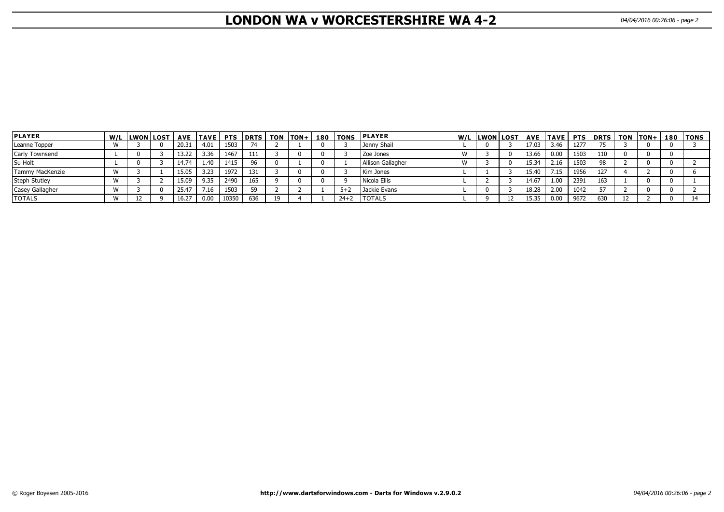# **LONDON WA v WORCESTERSHIRE WA 4-2** 04/04/2016 00:26:06 - page 2

| <b>PLAYER</b>   | W/L LWON LOST |       | AVE   TAVE | <b>PTS</b> | <b>DRTS</b> | <b>TON</b> | lTON+ | 180 TONS | <b>PLAYER</b>     | W/L  LWON LOST |       |      |      | AVE  TAVE  PTS  DRTS |  | TON  TON+  180  TONS |
|-----------------|---------------|-------|------------|------------|-------------|------------|-------|----------|-------------------|----------------|-------|------|------|----------------------|--|----------------------|
| Leanne Topper   |               | 20.31 | 4.01       | 1503       | 74          |            |       |          | Jenny Shail       |                | 17.03 | 3.46 | 1277 |                      |  |                      |
| Carly Townsend  |               | 13.22 | 3.36       | 1467       | 111         |            |       |          | Zoe Jones         |                | 13.66 | 0.00 | 1503 | 110                  |  |                      |
| Su Holt         |               | 14.74 | 1.40       | 1415       | 96          |            |       |          | Allison Gallagher |                | 15.34 | 2.16 | 1503 | -98                  |  |                      |
| Tammy MacKenzie |               | 15.05 | 3.23       | 1972       | 131         |            |       |          | Kim Jones         |                | 15.40 | 7.15 | 1956 | 127                  |  |                      |
| Steph Stutley   |               | 15.09 | 9.35       | 2490       | 165         |            |       | n        | l Nicola Ellis    |                | 14.67 | 1.00 | 2391 | 163                  |  |                      |
| Casey Gallagher |               | 25.47 | 7.16       | 1503       | 59          |            |       | $5 + 2$  | l Jackie Evans    |                | 18.28 | 2.00 | 1042 | 57                   |  |                      |
| <b>TOTALS</b>   |               | 16.27 | 0.00       | 10350      | 636         | 19         |       | $24 + 2$ | <b>TOTALS</b>     |                | 15.35 | 0.00 | 9672 | 630                  |  |                      |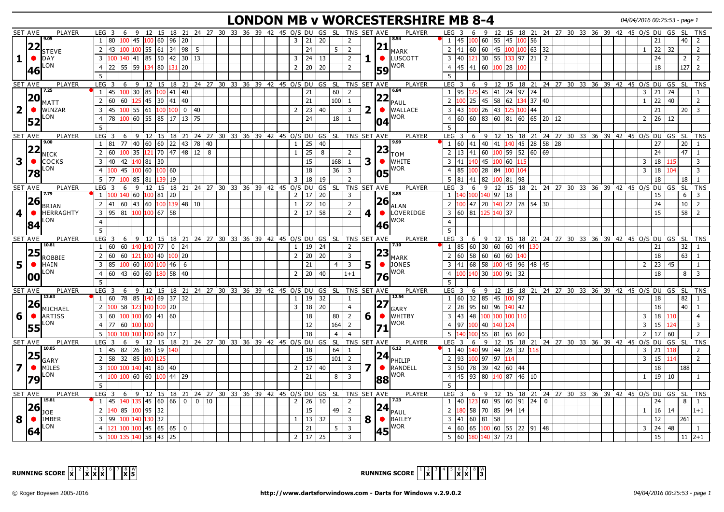# **LONDON MB v WORCESTERSHIRE MB 8-4** 04/04/2016 00:25:53 - page 1

|                         | <b>SET AVE</b> | <b>PLAYER</b>         | 6<br>LEG <sub>3</sub>                                                                             | -9       | 12 15 18 21 24 27 30 33 36 39 42 45 O/S DU GS SL TNS SET AVE     |                 |             |    |                                         |  |  |                                   |                 |                                                        |                |              |             | <b>PLAYER</b>        |                  | LEG <sub>3</sub><br>6                                                                               | 9             | 12 15 18 21 24 27 30 33 36 39 42 45 0/S DU GS SL TNS                               |            |    |                                               |  |  |                |              |     |                    |                |
|-------------------------|----------------|-----------------------|---------------------------------------------------------------------------------------------------|----------|------------------------------------------------------------------|-----------------|-------------|----|-----------------------------------------|--|--|-----------------------------------|-----------------|--------------------------------------------------------|----------------|--------------|-------------|----------------------|------------------|-----------------------------------------------------------------------------------------------------|---------------|------------------------------------------------------------------------------------|------------|----|-----------------------------------------------|--|--|----------------|--------------|-----|--------------------|----------------|
|                         |                | 9.05                  | 1   80   100   45                                                                                 |          | 100 60 96 20                                                     |                 |             |    |                                         |  |  | 21<br>$\overline{\mathbf{3}}$     | 20              |                                                        | 2              |              |             | 8.54                 |                  | $1 \mid 45$                                                                                         |               | 100 60 55 45                                                                       | 100 56     |    |                                               |  |  |                | 21           |     | 40 <sup>1</sup>    | $\overline{2}$ |
|                         |                | $ 22 _{\text{STEVE}}$ | $\overline{2}$                                                                                    |          |                                                                  |                 |             |    |                                         |  |  | 24                                |                 | 5                                                      | $\overline{2}$ |              |             | $ 21 _{\text{MARK}}$ |                  | $2 \mid 41 \mid 60 \mid 60 \mid 45 \mid 100 \mid 100 \mid 63 \mid 32$                               |               |                                                                                    |            |    |                                               |  |  | $\mathbf{1}$   | 22           | 32  |                    | 2              |
|                         |                |                       |                                                                                                   |          |                                                                  |                 |             |    |                                         |  |  |                                   |                 |                                                        |                |              |             |                      |                  |                                                                                                     |               |                                                                                    |            |    |                                               |  |  |                |              |     |                    |                |
| 1                       | $\bullet$      | DAY                   | $\overline{3}$<br>100                                                                             | 140 41   | 85 50 42 30 13                                                   |                 |             |    |                                         |  |  | $\overline{3}$<br>24              | 13              |                                                        | $\overline{2}$ | 1.           |             | <b>C</b> LUSCOTT     |                  | $3 \mid 40$<br>121                                                                                  |               | 30 55                                                                              | 133 97 21  | 2  |                                               |  |  |                | 24           |     | 2 <sup>1</sup>     | 2              |
|                         | 46             | LON                   | 22<br>55<br>$\overline{4}$                                                                        | 59       | 134 80                                                           | 131             | 20          |    |                                         |  |  | $\sqrt{20}$<br>$\overline{2}$     | 20              |                                                        | $\overline{2}$ |              | 59          | ∥WOR                 | $\overline{4}$   | 45<br>41                                                                                            |               | 60 100<br>28                                                                       | 100        |    |                                               |  |  |                | 18           |     | $\overline{127}$ 2 |                |
|                         |                |                       | 5                                                                                                 |          |                                                                  |                 |             |    |                                         |  |  |                                   |                 |                                                        |                |              |             |                      | 5                |                                                                                                     |               |                                                                                    |            |    |                                               |  |  |                |              |     |                    |                |
|                         | <b>SET AVE</b> | PLAYER                | $LEG$ 3                                                                                           |          | 6 9 12 15 18 21 24 27 30 33 36 39 42 45 O/S DU GS SL TNS SET AVE |                 |             |    |                                         |  |  |                                   |                 |                                                        |                |              |             | PLAYER               |                  | $LEG$ 3                                                                                             |               | 6 9 12 15 18 21 24 27 30 33 36 39 42 45 0/S DU GS                                  |            |    |                                               |  |  |                |              |     | <b>SL</b>          | <b>TNS</b>     |
|                         |                | 7.25                  | 145<br>$\vert$ 1                                                                                  | $100$ 30 | 85 100 41 40                                                     |                 |             |    |                                         |  |  | 21                                |                 | 60                                                     | $\overline{2}$ |              |             | 6.84                 |                  | 1 95<br>125                                                                                         |               | 45  41  24  97  74                                                                 |            |    |                                               |  |  | 3 <sup>7</sup> | 21           | 74  |                    |                |
|                         | 20             | MATT                  | $\overline{2}$<br>l 60<br>60                                                                      |          | $125$ 45 30 41 40                                                |                 |             |    |                                         |  |  | 21                                |                 | 100                                                    | -1             |              |             | $ 22 _{\text{PAUL}}$ | 2 <sup>1</sup>   | 25                                                                                                  |               | 45 58<br>62                                                                        |            | 40 |                                               |  |  |                | 22           | 40  |                    | 2              |
| $\overline{2}$          | $\bullet$      | WINZAR                | $\overline{3}$<br>  45                                                                            |          | $100$ 55 61 100 100 0 40                                         |                 |             |    |                                         |  |  | 23<br>2                           | 40              |                                                        | $\overline{3}$ | $\mathbf{2}$ |             | $\bullet$ WALLACE    |                  | $3 \mid 43$                                                                                         | 100   26   43 |                                                                                    | 125 100 44 |    |                                               |  |  |                | 21           |     | $20 \mid 3$        |                |
|                         |                | LON                   | $\overline{4}$<br>  78                                                                            |          | 100 60 55 85 17 13 75                                            |                 |             |    |                                         |  |  | 24                                |                 | 18                                                     | -1             |              |             | <b>I</b> WOR         |                  | $4 \overline{60}$<br>60                                                                             |               | 83  60  81  60  65  20  12                                                         |            |    |                                               |  |  | $2^{\circ}$    | 26           | 12  |                    |                |
|                         | 52             |                       | $\overline{5}$                                                                                    |          |                                                                  |                 |             |    |                                         |  |  |                                   |                 |                                                        |                |              | 04          |                      | $5^{\circ}$      |                                                                                                     |               |                                                                                    |            |    |                                               |  |  |                |              |     |                    |                |
|                         |                |                       |                                                                                                   |          |                                                                  |                 |             |    |                                         |  |  |                                   |                 |                                                        |                |              |             |                      |                  |                                                                                                     |               |                                                                                    |            |    |                                               |  |  |                |              |     |                    |                |
|                         | <b>SET AVE</b> | PLAYER<br>9.00        | LEG <sub>3</sub><br>$1 \ 81 \ 77 \ 40 \ 60 \ 60 \ 22 \ 43 \ 78 \ 40$                              |          | 6 9 12 15 18 21 24 27 30 33 36 39 42 45 O/S DU GS SL TNS SET AVE |                 |             |    |                                         |  |  |                                   | 40              |                                                        |                |              |             | PLAYER<br>l 9.99     | LEG <sub>3</sub> | - 6<br>1 60                                                                                         |               | 9 12 15 18 21 24 27 30 33 36 39 42 45 O/S DU GS SL TNS<br>41 40 41 140 45 28 58 28 |            |    |                                               |  |  |                | 27           |     | 20 <sup>1</sup>    | $\overline{1}$ |
|                         |                | $ 22 _{NICK}$         |                                                                                                   |          |                                                                  |                 |             |    |                                         |  |  | 25<br>1                           |                 |                                                        |                |              | 23          |                      |                  |                                                                                                     |               |                                                                                    |            |    |                                               |  |  |                |              |     |                    |                |
|                         |                |                       | $\overline{2}$<br>l 60                                                                            | 35       | $121$ 70 47 48 12                                                |                 |             | 8  |                                         |  |  | $\overline{25}$<br><sup>1</sup>   | 8               |                                                        | $\overline{2}$ |              |             | TOM                  | $\overline{2}$   | 13<br>41                                                                                            |               | $\boxed{60}$ $\boxed{100}$ 59 52 60                                                |            | 69 |                                               |  |  |                | 24           |     | $\overline{47}$    |                |
| $\mathbf{3}$            | $\bullet$      | COCKS                 | $\overline{3}$<br>140<br>42                                                                       |          | 140 81 30                                                        |                 |             |    |                                         |  |  |                                   | 15              | 168                                                    | $\mathbf{1}$   | 3            | $\bullet$   | <b>WHITE</b>         |                  | $3 \mid 41$<br>.40                                                                                  |               | 45 100 60                                                                          |            |    |                                               |  |  | 3              | 18           |     |                    | 3              |
|                         | 78             | LON                   | $\overline{4}$                                                                                    |          | 45 100 60 100 60                                                 |                 |             |    |                                         |  |  | 18                                |                 | 36                                                     | $\overline{3}$ |              | 105         | IWOR∣                |                  | $4 \mid 85$                                                                                         | 100 28 84     |                                                                                    | 100 104    |    |                                               |  |  | 3              | 18           |     |                    |                |
|                         |                |                       | 5<br>177                                                                                          | 100 85   | 81                                                               | 19              |             |    |                                         |  |  | $\overline{3}$                    | 18<br>  19      |                                                        |                |              |             |                      |                  | $5 \mid 81$<br>41                                                                                   | 82            | 100 81 98                                                                          |            |    |                                               |  |  |                | 18           |     | 18                 |                |
|                         | <b>SET AVE</b> | PLAYER                | 6<br><b>LEG</b><br>$\overline{3}$                                                                 | -9       | 12<br>15                                                         |                 |             |    | 18 21 24 27 30 33 36 39 42 45 0/S DU GS |  |  |                                   |                 | - SL                                                   |                |              | TNS SET AVE | <b>PLAYER</b>        | LEG <sub>3</sub> | 6                                                                                                   | $\mathsf{q}$  | 12                                                                                 |            |    | 15 18 21 24 27 30 33 36 39 42 45 0/S DU GS SL |  |  |                |              |     |                    | TNS            |
|                         |                | 7.79                  | 100                                                                                               | .40 60   | 100 81                                                           | 20              |             |    |                                         |  |  | $\overline{2}$<br>17              | 20              |                                                        | 3              |              |             | 8.85                 |                  | 1 140<br>.00                                                                                        |               | 140   97<br>18                                                                     |            |    |                                               |  |  |                | 15           |     | 6                  | $\overline{3}$ |
|                         | 26             | <b>BRIAN</b>          | $2  41   60   43   60   100   139   48   10$                                                      |          |                                                                  |                 |             |    |                                         |  |  | $\overline{22}$<br>1              | 10              |                                                        | $\overline{2}$ |              | 26          | <b>ALAN</b>          |                  | $2\left 100\right 47\left 20\right \left 140\right 22\left 78\right \left 54\right \left 30\right $ |               |                                                                                    |            |    |                                               |  |  |                | 24           |     | $10 \mid 2$        |                |
| $\overline{\mathbf{4}}$ | $\bullet$      | <b>HERRAGHTY</b>      | $\overline{3}$<br> 95  81   <mark>100  100</mark>  67  58                                         |          |                                                                  |                 |             |    |                                         |  |  | $\overline{17}$<br>$\overline{2}$ | 58              |                                                        | $\overline{2}$ | 4            | $\bullet$   | LOVERIDGE            |                  | 3 60 81 125 140 37                                                                                  |               |                                                                                    |            |    |                                               |  |  |                | 15           |     | $58 \mid 2$        |                |
|                         |                | LON                   | $\overline{4}$                                                                                    |          |                                                                  |                 |             |    |                                         |  |  |                                   |                 |                                                        |                |              |             | ∥WOR                 | $\overline{4}$   |                                                                                                     |               |                                                                                    |            |    |                                               |  |  |                |              |     |                    |                |
|                         | 84             |                       | $\overline{5}$                                                                                    |          |                                                                  |                 |             |    |                                         |  |  |                                   |                 |                                                        |                |              | 46          |                      | 5 <sup>1</sup>   |                                                                                                     |               |                                                                                    |            |    |                                               |  |  |                |              |     |                    |                |
|                         |                |                       |                                                                                                   |          |                                                                  |                 |             |    |                                         |  |  |                                   |                 |                                                        |                |              |             |                      |                  |                                                                                                     |               |                                                                                    |            |    |                                               |  |  |                |              |     |                    |                |
|                         | <b>SET AVE</b> | PLAYER<br>10.81       | LEG <sub>3</sub><br>1 60 60 140 140 77 0 24                                                       | 6 9      | 12 15                                                            |                 |             |    |                                         |  |  |                                   | 24              | 18 21 24 27 30 33 36 39 42 45 O/S DU GS SL TNS SET AVE |                |              |             | PLAYER<br>7.10       | LEG <sub>3</sub> | - 6<br>1 85<br>60                                                                                   |               | 9 12 15 18 21 24 27 30 33 36 39 42 45 0/S DU GS<br>30 60 60 44 130                 |            |    |                                               |  |  |                |              |     | 32                 | SL TNS         |
|                         | 25             |                       |                                                                                                   |          |                                                                  |                 |             |    |                                         |  |  | 19<br>$\overline{1}$              |                 |                                                        | 2              |              |             | $ 23 _{\text{MARK}}$ |                  |                                                                                                     |               |                                                                                    |            |    |                                               |  |  |                | 21           |     |                    |                |
|                         |                | <b>ROBBIE</b>         | $\overline{2}$ 60<br>60                                                                           | 121      | $100$ 40                                                         |                 | $100$ 20    |    |                                         |  |  | $\sqrt{20}$<br>$\overline{2}$     | $\overline{20}$ |                                                        | $\overline{3}$ |              |             |                      |                  | $\overline{2}$ 60<br>58                                                                             |               | 60 60 60                                                                           | 140        |    |                                               |  |  |                | 18           |     | $\overline{63}$    |                |
| 5 <sup>1</sup>          | $\bullet$      | <b>HAIN</b>           | $\overline{3}$<br>85                                                                              | 100 60   | 100 100                                                          | 46              | 6           |    |                                         |  |  | 21                                |                 |                                                        | $\overline{3}$ | 5            |             | $\bullet$ DONES      | $\overline{3}$   | 68<br>41                                                                                            |               | 58 100 45 96 48 45                                                                 |            |    |                                               |  |  |                | $\boxed{23}$ | 45  |                    |                |
|                         | 100            | LON                   | 60  43  60<br>$\overline{4}$                                                                      |          |                                                                  |                 |             |    |                                         |  |  | 20<br>$\overline{2}$              | 40              |                                                        | $1 + 1$        |              |             | $76$ <sup>WOR</sup>  | $\overline{4}$   | 140                                                                                                 |               | 30 100 91 32                                                                       |            |    |                                               |  |  |                | 18           |     | $8 \mid 3$         |                |
|                         |                |                       | 5                                                                                                 |          |                                                                  |                 |             |    |                                         |  |  |                                   |                 |                                                        |                |              |             |                      | 5                |                                                                                                     |               |                                                                                    |            |    |                                               |  |  |                |              |     |                    |                |
|                         | <b>SET AVE</b> | PLAYER                | LEG <sub>3</sub>                                                                                  |          | 6 9 12 15 18 21 24 27 30 33 36 39 42 45 O/S DU GS SL TNS SET AVE |                 |             |    |                                         |  |  |                                   |                 |                                                        |                |              |             | PLAYER               |                  | LEG <sub>3</sub><br>6                                                                               |               | 9 12 15 18 21 24 27 30 33 36 39 42 45 O/S DU GS SL TNS                             |            |    |                                               |  |  |                |              |     |                    |                |
|                         |                | 13.63                 | $\vert 1 \vert$                                                                                   |          |                                                                  |                 |             |    |                                         |  |  | 19<br>1                           | 32              |                                                        | -1             |              |             | 12.54                |                  | $1 \overline{60}$                                                                                   |               | 32 85 45 100 97                                                                    |            |    |                                               |  |  |                | 18           |     | 82                 |                |
|                         | 26             | MICHAEL               | $\overline{2}$<br>$100$ 58                                                                        |          | 123 100 100 20                                                   |                 |             |    |                                         |  |  | 18<br>$\overline{3}$              | 20              |                                                        | $\overline{4}$ |              | 27          | IGARY                |                  | $2 \mid 28$                                                                                         | 95 60 96      |                                                                                    | $140$ 42   |    |                                               |  |  |                | 18           |     | 40                 |                |
| 6                       | $\bullet$      | <b>ARTISS</b>         | $\boxed{60}$ $\boxed{100}$ $\boxed{100}$ $\boxed{60}$ $\boxed{41}$ $\boxed{60}$<br>$\overline{3}$ |          |                                                                  |                 |             |    |                                         |  |  |                                   | 18              | 80                                                     | $\overline{2}$ | 6            | $\bullet$   | <b>I</b> WHITBY      |                  | $3 \mid 43$<br>48                                                                                   |               | 100 100 100 110                                                                    |            |    |                                               |  |  | 3              | 18           | 110 |                    |                |
|                         |                | _ON                   | 77   60<br>$\overline{4}$                                                                         | 100      | 100                                                              |                 |             |    |                                         |  |  | 12                                |                 | 164                                                    | $\overline{2}$ |              |             | <b>I</b> WOR         |                  | 4 97<br>100                                                                                         |               | 40 140<br>124                                                                      |            |    |                                               |  |  | $\overline{3}$ | 15           | 124 |                    | 3              |
|                         | 55             |                       | 5                                                                                                 | 00       | 100 80 17                                                        |                 |             |    |                                         |  |  | 18                                |                 | $\overline{4}$                                         |                |              |             |                      | 5                | 00                                                                                                  | 55 81         |                                                                                    | 65 60      |    |                                               |  |  | $\overline{2}$ | 17           | 60  |                    |                |
|                         | <b>SET AVE</b> | PLAYER                | LEG <sub>3</sub><br>6                                                                             | ا 9∶     | 12 15 18 21 24 27 30 33 36 39 42 45 0/S DU GS SL                 |                 |             |    |                                         |  |  |                                   |                 |                                                        | TNS SET AVE    |              |             | PLAYER               | $LEG$ 3          | 6                                                                                                   | 9             | <sup>12</sup>                                                                      |            |    | 15 18 21 24 27 30 33 36 39 42 45 0/S DU GS SL |  |  |                |              |     |                    | TNS            |
|                         |                | 10.05                 | $1 \mid 45$                                                                                       | 82 26    | 85 59                                                            | 140             |             |    |                                         |  |  |                                   | 18              | 64                                                     | -1             |              |             | 6.12                 |                  | $1 \vert 40$                                                                                        |               | 140   99   44   28   32   118                                                      |            |    |                                               |  |  | 3 <sup>7</sup> | 21           | 118 |                    |                |
|                         | 25             |                       |                                                                                                   |          |                                                                  |                 |             |    |                                         |  |  |                                   |                 |                                                        |                |              | 24          |                      |                  |                                                                                                     |               |                                                                                    |            |    |                                               |  |  |                |              |     |                    |                |
|                         |                | GARY                  | $\overline{2}$<br>l 58                                                                            | 32 85    | 100 125                                                          |                 |             |    |                                         |  |  | 15                                |                 | 101                                                    | $\overline{2}$ |              |             | PHILIP               |                  | $2$ 93                                                                                              | 100 97 97     | 114                                                                                |            |    |                                               |  |  | 3              | 15           | 114 |                    | $\overline{2}$ |
| $\overline{\mathbf{z}}$ | $\bullet$      | <b>MILES</b>          | $\overline{3}$                                                                                    |          | l00 140   41   80   40                                           |                 |             |    |                                         |  |  | 17<br>2                           | 40              |                                                        | $\overline{3}$ |              | $\bullet$   | <b>RANDELL</b>       |                  | $3 \mid 50$                                                                                         |               | 78 39 42 60 44                                                                     |            |    |                                               |  |  |                | 18           |     | 188                |                |
|                         | 79             | LON                   | $\overline{4}$<br>100                                                                             | 100 60   | 60  100   44   29                                                |                 |             |    |                                         |  |  | 21                                |                 | 8                                                      | $\overline{3}$ |              | 88          | ∥WOR                 |                  | $4 \mid 45$<br>93                                                                                   |               | 80 140 87 46 10                                                                    |            |    |                                               |  |  | $\mathbf{1}$   | 19           | 10  |                    |                |
|                         |                |                       | 5                                                                                                 |          |                                                                  |                 |             |    |                                         |  |  |                                   |                 |                                                        |                |              |             |                      | 5                |                                                                                                     |               |                                                                                    |            |    |                                               |  |  |                |              |     |                    |                |
|                         | <b>SET AVE</b> | PLAYER                | LEG 3 6 9 12 15 18 21 24 27 30 33 36 39 42 45 O/S DU GS SL TNS SET AVE                            |          |                                                                  |                 |             |    |                                         |  |  |                                   |                 |                                                        |                |              |             | PLAYER               |                  | LEG <sub>3</sub><br>6                                                                               |               | 9 12 15 18 21 24 27 30 33 36 39 42 45 0/S DU GS                                    |            |    |                                               |  |  |                |              |     |                    | SL TNS         |
|                         |                | 15.81                 | 145<br>$\overline{1}$                                                                             |          | $140$ 135 45 60 66 0 0                                           |                 |             | 10 |                                         |  |  | $\overline{2}$<br>26              | 10              |                                                        | 2              |              |             | 7.23                 |                  | $1 \vert 40 \vert$                                                                                  |               | $123$ 60 95 60 91 24 0                                                             |            |    |                                               |  |  |                | 24           |     | 8   1              |                |
|                         | <b>26</b>      | <b>JOE</b>            | $140$ 85 $100$ 95 32<br>$\overline{2}$                                                            |          |                                                                  |                 |             |    |                                         |  |  |                                   | 15              | 49                                                     | 2              |              |             | $ 24 _{\text{PAUL}}$ | $\overline{2}$   | 58                                                                                                  |               | $\boxed{70}$ 85 94 14                                                              |            |    |                                               |  |  | 1              | 16           | 14  |                    | $1+1$          |
| 8                       | $\bullet$      | <b>IMBER</b>          | 99<br>$\overline{3}$                                                                              |          | 100 140 130 32                                                   |                 |             |    |                                         |  |  | <sup>13</sup><br>1                | 32              |                                                        | $\overline{3}$ | 8            |             | $\bigcirc$ BAILEY    |                  | $3 \mid 41$<br>60                                                                                   | $81 \, 58$    |                                                                                    |            |    |                                               |  |  |                | 12           |     | 261                |                |
|                         |                | LON                   | $\overline{4}$                                                                                    |          | 100 100 45 65 65                                                 |                 | $\mathbf 0$ |    |                                         |  |  |                                   | 21              | 5 <sup>1</sup>                                         | $\overline{3}$ |              |             | lwor                 |                  | 65<br>4 60                                                                                          |               | $100$ 60 55 22 91 48                                                               |            |    |                                               |  |  | 3 <sup>7</sup> | 24           | 48  |                    |                |
|                         | 64             |                       |                                                                                                   |          |                                                                  |                 |             |    |                                         |  |  |                                   |                 |                                                        |                |              | 45          |                      |                  |                                                                                                     |               |                                                                                    |            |    |                                               |  |  |                |              |     |                    |                |
|                         |                |                       | 5<br>100                                                                                          |          | 135 140 58 43                                                    | $\overline{25}$ |             |    |                                         |  |  | $\overline{2}$                    | 17 25           |                                                        | $\overline{3}$ |              |             |                      |                  | 5 60                                                                                                |               | 180 140 37 73                                                                      |            |    |                                               |  |  |                | 15           |     | $11 \mid 2+1$      |                |



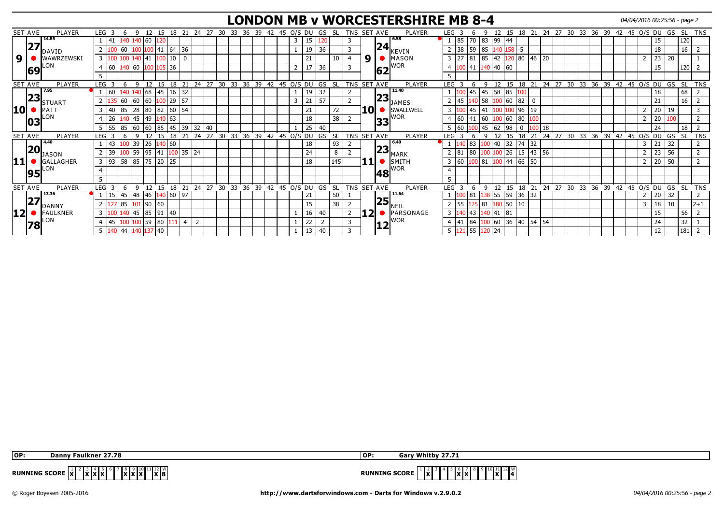#### **LONDON MB v WORCESTERSHIRE MB 8-4** 04/04/2016 00:25:56 - page 2

|                 | SET AVE | PLAYER           | LEG <sub>3</sub>               |            | q            | 12    | 15             | 18 21     |                                          | -24                | 27 30 |                | 33 36 39 42 45 O/S DU |    |              |   |    | GS             | - SL      | TNS SET AVE    |                 |    | <b>PLAYER</b>                   | LEG <sub>3</sub> |        |          | q            |           |                   |                                   |    |                   |    |                 |    |    |    | 12 15 18 21 24 27 30 33 36 39 42 45 O/S DU |    | GS  |           | SL TNS     |
|-----------------|---------|------------------|--------------------------------|------------|--------------|-------|----------------|-----------|------------------------------------------|--------------------|-------|----------------|-----------------------|----|--------------|---|----|----------------|-----------|----------------|-----------------|----|---------------------------------|------------------|--------|----------|--------------|-----------|-------------------|-----------------------------------|----|-------------------|----|-----------------|----|----|----|--------------------------------------------|----|-----|-----------|------------|
|                 |         | 14.85            | 41                             |            | 140 140 60   |       |                |           |                                          |                    |       |                |                       |    |              | 3 | 15 |                |           |                |                 |    | 6.58                            | $1 \mid 85$      |        | 70 83    |              | 99 44     |                   |                                   |    |                   |    |                 |    |    |    |                                            | 15 |     | 120       |            |
|                 | 27      | DAVID            |                                |            |              |       |                |           | $\begin{array}{c} 36 \\ -36 \end{array}$ |                    |       |                |                       |    |              |   | 19 | 36             |           |                |                 | 24 | KEVIN                           |                  | 38     | 59       | 85<br>140 li | 58        | -5                |                                   |    |                   |    |                 |    |    |    |                                            | 18 |     | 16        |            |
| 9               |         | WAWRZEWSKI       | 3 <sup>1</sup>                 |            |              | 41    |                | 100 10    | 0                                        |                    |       |                |                       |    |              |   | 21 |                | 10        |                | 9               |    | MASON                           | $3 \mid 27$      |        |          | 42  <br>85   |           | .20 80            | 46                                | 20 |                   |    |                 |    |    |    |                                            | 23 | 20  |           |            |
|                 | 69      | ON.              | $ 60\rangle$<br>$\overline{4}$ |            | 140 60       | 00    |                | 105 36    |                                          |                    |       |                |                       |    |              |   | 17 | 36             |           | 3              |                 | 62 | <b>WOR</b>                      | $\overline{4}$   |        | 41       | $140$ 40 60  |           |                   |                                   |    |                   |    |                 |    |    |    |                                            | 15 |     | 120       |            |
|                 |         |                  |                                |            |              |       |                |           |                                          |                    |       |                |                       |    |              |   |    |                |           |                |                 |    |                                 |                  |        |          |              |           |                   |                                   |    |                   |    |                 |    |    |    |                                            |    |     |           |            |
|                 | SET AVE | PLAYER           | <b>LEG</b>                     |            |              |       |                | 18        | 21                                       | $24 \overline{27}$ |       | 30             | 33 36 39 42 45 O/S DU |    |              |   |    | GS             | -SL       | TNS SET AVE    |                 |    | PLAYER                          | <b>LEG</b>       |        |          | 12           |           | 15 18 21          |                                   |    | $24$ 27 30        |    |                 |    |    |    | 33 36 39 42 45 O/S DU                      |    | GS  | <b>SL</b> | <b>TNS</b> |
|                 |         | 7.95             | $ 60\rangle$                   |            |              | 68    |                | 45 16 32  |                                          |                    |       |                |                       |    |              |   | 19 | 32             |           |                |                 |    | 11.40                           |                  |        | 45       | 58<br> 45    | 85        |                   |                                   |    |                   |    |                 |    |    |    |                                            | 18 |     | 68        |            |
|                 | 23      | <b>STUART</b>    |                                | 60         | $ 60\rangle$ | 60    |                | 100 29    | 57                                       |                    |       |                |                       |    |              | 3 | 21 | 57             |           |                |                 | 23 | <b>I</b> JAMES                  | $2 \mid 45$      |        | 140      | 58           | 60        | 82                | 0                                 |    |                   |    |                 |    |    |    |                                            | 21 |     | 16        |            |
| 10              |         | PATT             | 140<br>3                       | 85         | 28           |       | 80 82 60       |           | 154                                      |                    |       |                |                       |    |              |   | 21 |                | 72        |                | 10 <sup>1</sup> |    | SWALLWELL                       | $\overline{3}$   |        | 45       | 41           |           | 196               | 19                                |    |                   |    |                 |    |    |    |                                            | 20 | 19  |           |            |
|                 | 103     | ON.              | 26                             |            | 45           | 49    |                | 40 63     |                                          |                    |       |                |                       |    |              |   | 18 |                | 38        |                |                 | 33 | <b>I</b> WOR                    | $\overline{4}$   | 60     |          | 60           | 60        | 80                |                                   |    |                   |    |                 |    |    |    |                                            | 20 |     |           |            |
|                 |         |                  | <b>S5</b>                      |            | 85 60        | 160   | 85 45          |           | 39                                       | 32                 | 40    |                |                       |    |              |   | 25 | 40             |           |                |                 |    |                                 | 5 60             |        |          | 62<br>l 45   | 98        | 0                 |                                   | 18 |                   |    |                 |    |    |    |                                            | 24 |     | 18        |            |
|                 | SET AVE | PLAYER           | <b>LEG</b>                     |            |              |       |                | 18        |                                          | 24                 | 27    | 33<br>30       | 36                    | 39 | 42 45 0/S DU |   |    | GS             | <b>SL</b> | TNS SET AVE    |                 |    | <b>PLAYER</b>                   | <b>LEG</b>       |        |          |              |           |                   | 21                                | 24 | 27                | 30 | 33 <sup>°</sup> | 36 | 39 | 42 | 45 O/S DU                                  |    | GS  | <b>SL</b> | <b>TNS</b> |
|                 |         | 4.40             |                                |            | 0139         | 26    | 140 60         |           |                                          |                    |       |                |                       |    |              |   | 18 |                | 93        |                |                 |    | 6.40                            |                  |        | 83       | 40           | 32        | 74                | $\begin{array}{c} 32 \end{array}$ |    |                   |    |                 |    |    |    | 3                                          | 21 | 32  |           |            |
|                 | 20      | <b>JASON</b>     | 39                             |            | 100 59       | 95    |                |           | 41 100 35 24                             |                    |       |                |                       |    |              |   | 24 |                | 8         |                |                 |    | $\left 23\right _{\text{MARK}}$ | $2 \mid 81$      |        | 80       |              | 26        |                   | 15   43                           | 56 |                   |    |                 |    |    |    |                                            | 23 | 56  |           |            |
| 11   1          |         | <b>GALLAGHER</b> | 3 <sup>1</sup><br> 93          |            |              |       | 58 85 75 20 25 |           |                                          |                    |       |                |                       |    |              |   | 18 |                | 145       |                |                 |    | $\bullet$ SMITH                 | 3 60             |        | LOO   81 | 100          |           | $\sqrt{44}$ 66 50 |                                   |    |                   |    |                 |    |    |    |                                            | 20 | .50 |           |            |
|                 |         | ON.              | $\overline{4}$                 |            |              |       |                |           |                                          |                    |       |                |                       |    |              |   |    |                |           |                |                 |    | <b>WOR</b>                      |                  |        |          |              |           |                   |                                   |    |                   |    |                 |    |    |    |                                            |    |     |           |            |
|                 | 95      |                  | .5                             |            |              |       |                |           |                                          |                    |       |                |                       |    |              |   |    |                |           |                |                 | 48 |                                 | 5.               |        |          |              |           |                   |                                   |    |                   |    |                 |    |    |    |                                            |    |     |           |            |
|                 | SET AVE | <b>PLAYER</b>    | LEG <sub>3</sub>               |            | Q            | 12    | 15             | 18        | 21                                       | 24                 |       | 27 30 33 36 39 |                       |    | 42 45 0/S DU |   |    | GS             | - SL      | TNS SET AVE    |                 |    | <b>PLAYER</b>                   | LEG <sub>3</sub> |        |          | 12           |           | 15 18 21          |                                   |    | 24 27 30 33 36 39 |    |                 |    |    |    | 42 45 0/S DU                               |    |     |           | GS SL TNS  |
|                 |         | 13.36            | 15                             |            | 45 48        | 46    |                | 140 60 97 |                                          |                    |       |                |                       |    |              |   | 21 |                | 50        |                |                 |    | <b>11.64</b>                    |                  |        |          | 138 55 59    |           | 36 32             |                                   |    |                   |    |                 |    |    |    |                                            | 20 | 32  |           |            |
|                 | 27      | DANNY            |                                |            | 85 101       | 90 60 |                |           |                                          |                    |       |                |                       |    |              |   | 15 |                | 38        |                |                 | 25 | NEIL                            |                  | 55     | 125 81   |              | 180 50 10 |                   |                                   |    |                   |    |                 |    |    |    | 3                                          | 18 | 10  |           | $ 2+1 $    |
| 12 <sup>1</sup> |         | <b>FAULKNER</b>  | $\mathbf{3}$                   |            | 45           | 85 91 |                | 40        |                                          |                    |       |                |                       |    |              |   | 16 | 40             |           | $\overline{z}$ | L2I             |    | PARSONAGE                       | 3                | 140 43 |          | 140 41       | 81        |                   |                                   |    |                   |    |                 |    |    |    |                                            | 15 |     | 56        |            |
|                 |         | ON.              | 45                             |            |              | 59    | 80 111         |           | l 4                                      | 2                  |       |                |                       |    |              |   | 22 | $\overline{2}$ |           | 3              |                 |    | <b>WOR</b>                      | $4 \mid 41$      |        | 84       | 100 60       |           | 36 40 54 54       |                                   |    |                   |    |                 |    |    |    |                                            | 24 |     | 32        |            |
|                 | 178     |                  |                                | 140 44 140 |              | 137   | 140            |           |                                          |                    |       |                |                       |    |              |   | 13 | $\vert$ 40     |           | 3              |                 | 12 |                                 |                  |        | 55       | 120 24       |           |                   |                                   |    |                   |    |                 |    |    |    |                                            | 12 |     | 181       |            |
|                 |         |                  |                                |            |              |       |                |           |                                          |                    |       |                |                       |    |              |   |    |                |           |                |                 |    |                                 |                  |        |          |              |           |                   |                                   |    |                   |    |                 |    |    |    |                                            |    |     |           |            |

| OP:<br>27.78<br>Dar                                                                           | OP:<br>.                                    |
|-----------------------------------------------------------------------------------------------|---------------------------------------------|
|                                                                                               |                                             |
| <b>RUNNIN</b><br> X 8 <br><b>IVIVIV</b><br><br>. .<br>SLURE<br>$\lambda$<br><b>IA.</b><br>ΔИ. | <b>RUNNING SCORE</b><br>Iv<br><br>ıл<br>^ו^ |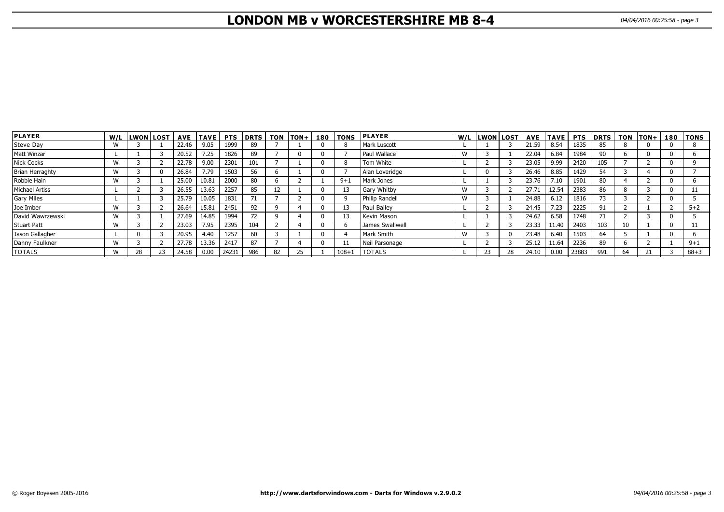# **LONDON MB v WORCESTERSHIRE MB 8-4** 04/04/2016 00:25:58 - page 3

| <b>PLAYER</b>         |              | W/L LWON LOST |    |       | AVE   TAVE | <b>PTS</b> | DRTS | <b>TON</b> | $ TON+ $ | 180 | <b>TONS</b> | <b>PLAYER</b>      |   | W/L LWON LOST |          |       | <b>AVE TAVE</b> | <b>PTS</b> | <b>DRTS</b> | <b>TON</b> | $ TON+$ | 180 | TONS     |
|-----------------------|--------------|---------------|----|-------|------------|------------|------|------------|----------|-----|-------------|--------------------|---|---------------|----------|-------|-----------------|------------|-------------|------------|---------|-----|----------|
| Steve Day             | W            |               |    | 22.46 | 9.05       | 1999       | 89   |            |          |     |             | I Mark Luscott     |   |               |          | 21.59 | 8.54            | 1835       | 85          |            |         |     |          |
| <b>Matt Winzar</b>    |              |               |    | 20.52 | 7.25       | 1826       | 89   |            |          |     |             | l Paul Wallace     | W |               |          | 22.04 | 6.84            | 1984       | 90          |            |         |     |          |
| Nick Cocks            | W            |               |    | 22.78 | 9.00       | 2301       | 101  |            |          |     |             | Tom White          |   |               |          | 23.05 | 9.99            | 2420       | 105         |            |         |     |          |
| Brian Herraghty       | W            |               |    | 26.84 | 7.79       | 1503       | 56   |            |          |     |             | Alan Loveridge     |   |               |          | 26.46 | 8.85            | 1429       | 54          |            |         |     |          |
| Robbie Hain           | W            |               |    | 25.00 | 10.81      | 2000       | 80   |            |          |     | $9 + 1$     | Mark Jones         |   |               |          | 23.76 | 7.10            | 1901       | 80          |            |         |     |          |
| <b>Michael Artiss</b> |              |               |    | 26.55 | 13.63      | 2257       | 85   | ÎΖ         |          |     |             | <b>Gary Whitby</b> | W |               |          | 27.71 | 12.54           | 2383       | 86          |            |         |     |          |
| <b>Gary Miles</b>     |              |               |    | 25.79 | 10.05      | 1831       | 71   |            |          |     |             | Philip Randell     | W |               |          | 24.88 | 6.12            | 1816       | 73          |            |         |     |          |
| Joe Imber             | W            |               |    | 26.64 | 15.81      | 2451       | 92   |            |          |     |             | Paul Bailey        |   |               |          | 24.45 | 7.23            | 2225       | 91          |            |         |     | $5 + 2$  |
| David Wawrzewski      | $\mathbf{M}$ |               |    | 27.69 | 14.85      | 1994       | 72   |            |          |     |             | Kevin Mason        |   |               |          | 24.62 | 6.58            | 1748       | 71          |            |         |     |          |
| <b>Stuart Patt</b>    | W            |               |    | 23.03 | 7.95       | 2395       | 104  |            |          |     |             | James Swallwell    |   |               |          | 23.33 | 11.40           | 2403       | 103         |            |         |     |          |
| Jason Gallagher       |              |               |    | 20.95 | 4.40       | 1257       | 60   |            |          |     |             | Mark Smith         | W |               | $\Omega$ | 23.48 | 6.40            | 1503       | 64          |            |         |     |          |
| Danny Faulkner        | $\mathbf{M}$ |               |    | 27.78 | 13.36      | 2417       | 87   |            |          |     |             | Neil Parsonage     |   |               |          | 25.12 | 11.64           | 2236       | 89          |            |         |     | $9 + 1$  |
| <b>TOTALS</b>         | W            | 28            | 23 | 24.58 | 0.00       | 24231      | 986  | 82         |          |     | $108 + 1$   | <b>TOTALS</b>      |   | 23            | 28       | 24.10 | 0.00            | 23883      | 991         | 64         |         |     | $88 + 3$ |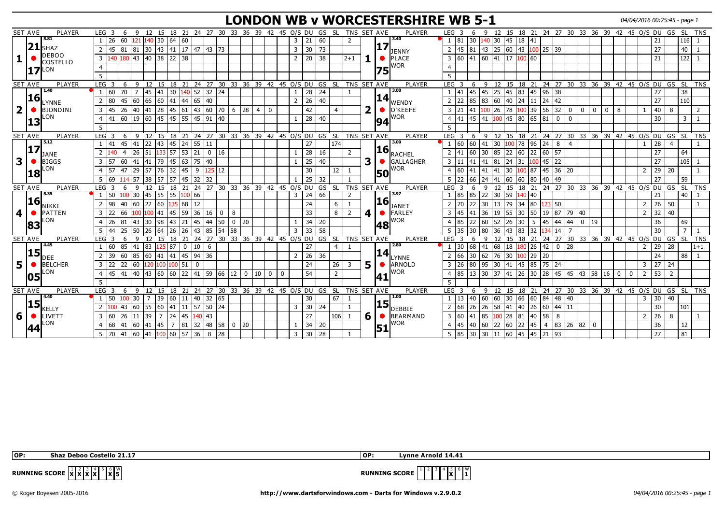# **LONDON WB v WORCESTERSHIRE WB 5-1** 04/04/2016 00:25:45 - page 1

| <b>SET AVE</b><br><b>PLAYER</b><br>9 12 15 18 21 24 27 30 33 36 39 42 45 O/S DU GS SL<br>TNS SET AVE<br><b>PLAYER</b><br>12 15 18 21 24 27 30 33 36 39 42 45 O/S DU GS SL<br>LEG <sub>3</sub><br>LEG <sub>3</sub><br>TNS<br>-6<br>-6<br>-9<br>5.81<br>3.40<br>140 30<br>140 30 45 18 41<br>26<br>64 60<br>21<br>60<br>81<br>116<br>60<br>121<br>$\overline{3}$<br>$\overline{2}$<br>30<br>21<br>17<br> 21<br><b>SHAZ</b><br>81 81 30 43 41 17 47 43 73<br>45 81 43 25 60 43 100 25 39<br>$\overline{40}$ I<br>45<br>$\overline{3}$<br>30<br>73<br>27<br>2<br>DENNY<br><b>DEBOO</b><br>180 43 40 38 22 38<br>3 60 41 60 41 17 100 60<br>140<br>20<br>$122$ 1<br>$\overline{3}$<br>$\overline{2}$<br>38<br>$12+1$<br>$\bullet$ PLACE<br>21<br><b>COSTELLO</b><br><b>WOR</b><br><b>17 LON</b><br> 75<br>12 15 18 21 24 27 30 33 36 39 42 45 0/S DU<br>9 12 15 18 21 24 27 30 33 36 39 42 45 0/S DU GS<br>GS SL<br>TNS SET AVE<br>SL.<br><b>SET AVE</b><br>PLAYER<br>LEG <sub>3</sub><br>6<br>-9<br>PLAYER<br>LEG <sub>3</sub><br>6<br><b>TNS</b><br>3.00<br>1.40<br>28<br>45 83 45 96 38<br>38<br>160<br>$170 +$<br>$\overline{7}$<br>30  140  52<br>$32 \mid 24$<br>24<br>41<br>45<br>25<br>27<br> 45  41<br> 45<br>$\overline{1}$<br><b>16</b><br> 14 <br>$\begin{bmatrix} 60 & 40 & 24 & 11 & 24 & 42 \end{bmatrix}$<br>110 <sup>1</sup><br>66 60<br>$41 \mid 44 \mid 65$<br>40<br>22<br>85<br>27<br>45<br>60<br>26<br>40<br>83  <br>180<br>$\overline{2}$<br>2<br>2<br>LYNNE<br>WENDY<br>$\overline{\mathbf{2}}$<br>n<br>$45 \mid 61 \mid 43$<br>$\bullet$ lo'keefe<br>$100$ 39<br>56 32<br><b>BIONDINI</b><br>41 28<br>60 70<br>126<br>78<br>145<br>26<br>40<br>6<br>28<br>42<br>21<br>$\mathbf 0$<br>$\overline{0}$<br>$\overline{0}$<br>40<br>8<br>$\bullet$<br>3<br>$\overline{4}$<br>$\overline{0}$<br>41<br>8<br>3<br>$\mathbf 0$<br>2<br>LON<br>WOR<br>60 45 45 55 45<br>45 80 65 81<br>60<br>19<br>91 40<br>28<br>41<br>45<br>41<br>141<br>$100 -$<br>0<br>30<br>40<br>3<br>$\overline{4}$<br>$\Omega$<br> 13<br>94<br><b>SET AVE</b><br>PLAYER<br>12 15 18 21 24 27 30 33 36 39 42 45 0/S DU GS SL<br>TNS SET AVE<br>PLAYER<br>$LEG$ 3<br>9 12 15 18 21 24 27 30 33 36 39 42 45 0/S DU GS SL<br>LEG <sub>3</sub><br>6<br>$\overline{9}$<br>6<br><b>TNS</b><br>5.12<br>3.00<br>60<br>$100$ 78 96 24 8<br>45 41<br> 22 43 45 24 55<br>174<br>  60   41   30<br>28<br>41<br>27<br>$\overline{4}$<br>11<br>4<br> 17<br>$\overline{\mathbf{16}}_{\mathsf{RACHEL}}$<br>$57$ 53 21<br>22   60   22   60   57<br>27<br>$\overline{2}$<br>26<br>28<br>85<br>64<br>40<br>51<br>$0$ 16<br>16<br>2<br>60<br>30<br>33<br>$\overline{4}$<br><b>JANE</b><br>3<br>3<br>45 63 75 40<br>25<br>40<br>$24 \mid 31$<br>105<br><b>BIGGS</b><br>$\overline{3}$<br>41<br> 41 79<br>GALLAGHER<br>$100$ 45 22<br>27<br>$\bullet$<br>l 57<br>60<br>3<br> 41<br> 81<br>141<br>ON.<br>WOR<br>47 29<br>32  45   9<br>30 100 87 45 36 20<br>57<br>57 76<br>30<br>60<br>$29$ 20<br>125 12<br>12<br>$\overline{4}$<br> 41  41<br>$ 41\rangle$<br>$\overline{2}$<br>-1<br>$\overline{4}$<br><b>50</b><br> 18<br>25<br>27<br>59<br>69<br>38 57<br>$57 \mid 45 \mid 32$<br>32<br>32<br>22<br>66<br>60 60<br>$ 80\rangle$<br> 49<br>5<br>14 57<br> 41<br>24<br>40<br>18 21 24 27 30 33 36 39 42 45 0/S DU GS SL<br>PLAYER<br>TNS SET AVE<br>15 18 21 24 27 30 33 36 39 42 45 0/S DU GS<br>SL SL<br><b>SET AVE</b><br>LEG <sub>3</sub><br>$\mathsf{q}$<br>12<br>15<br>PLAYER<br>$LEG$ 3<br>$\mathsf{q}$<br>12<br>TNS<br>-6<br>6<br>5.35<br>3.97<br> 45 55<br>24<br>85 |
|-------------------------------------------------------------------------------------------------------------------------------------------------------------------------------------------------------------------------------------------------------------------------------------------------------------------------------------------------------------------------------------------------------------------------------------------------------------------------------------------------------------------------------------------------------------------------------------------------------------------------------------------------------------------------------------------------------------------------------------------------------------------------------------------------------------------------------------------------------------------------------------------------------------------------------------------------------------------------------------------------------------------------------------------------------------------------------------------------------------------------------------------------------------------------------------------------------------------------------------------------------------------------------------------------------------------------------------------------------------------------------------------------------------------------------------------------------------------------------------------------------------------------------------------------------------------------------------------------------------------------------------------------------------------------------------------------------------------------------------------------------------------------------------------------------------------------------------------------------------------------------------------------------------------------------------------------------------------------------------------------------------------------------------------------------------------------------------------------------------------------------------------------------------------------------------------------------------------------------------------------------------------------------------------------------------------------------------------------------------------------------------------------------------------------------------------------------------------------------------------------------------------------------------------------------------------------------------------------------------------------------------------------------------------------------------------------------------------------------------------------------------------------------------------------------------------------------------------------------------------------------------------------------------------------------------------------------------------------------------------------------------------------------------------------------------------------------------------------------------------------------------------------------------------------------------------------------------------------------------------------------------------------------------------------------------------------------------------------------------------------------------------------------------------------------------------------------------------------------------------------------------------------------------------|
|                                                                                                                                                                                                                                                                                                                                                                                                                                                                                                                                                                                                                                                                                                                                                                                                                                                                                                                                                                                                                                                                                                                                                                                                                                                                                                                                                                                                                                                                                                                                                                                                                                                                                                                                                                                                                                                                                                                                                                                                                                                                                                                                                                                                                                                                                                                                                                                                                                                                                                                                                                                                                                                                                                                                                                                                                                                                                                                                                                                                                                                                                                                                                                                                                                                                                                                                                                                                                                                                                                                                           |
|                                                                                                                                                                                                                                                                                                                                                                                                                                                                                                                                                                                                                                                                                                                                                                                                                                                                                                                                                                                                                                                                                                                                                                                                                                                                                                                                                                                                                                                                                                                                                                                                                                                                                                                                                                                                                                                                                                                                                                                                                                                                                                                                                                                                                                                                                                                                                                                                                                                                                                                                                                                                                                                                                                                                                                                                                                                                                                                                                                                                                                                                                                                                                                                                                                                                                                                                                                                                                                                                                                                                           |
|                                                                                                                                                                                                                                                                                                                                                                                                                                                                                                                                                                                                                                                                                                                                                                                                                                                                                                                                                                                                                                                                                                                                                                                                                                                                                                                                                                                                                                                                                                                                                                                                                                                                                                                                                                                                                                                                                                                                                                                                                                                                                                                                                                                                                                                                                                                                                                                                                                                                                                                                                                                                                                                                                                                                                                                                                                                                                                                                                                                                                                                                                                                                                                                                                                                                                                                                                                                                                                                                                                                                           |
|                                                                                                                                                                                                                                                                                                                                                                                                                                                                                                                                                                                                                                                                                                                                                                                                                                                                                                                                                                                                                                                                                                                                                                                                                                                                                                                                                                                                                                                                                                                                                                                                                                                                                                                                                                                                                                                                                                                                                                                                                                                                                                                                                                                                                                                                                                                                                                                                                                                                                                                                                                                                                                                                                                                                                                                                                                                                                                                                                                                                                                                                                                                                                                                                                                                                                                                                                                                                                                                                                                                                           |
|                                                                                                                                                                                                                                                                                                                                                                                                                                                                                                                                                                                                                                                                                                                                                                                                                                                                                                                                                                                                                                                                                                                                                                                                                                                                                                                                                                                                                                                                                                                                                                                                                                                                                                                                                                                                                                                                                                                                                                                                                                                                                                                                                                                                                                                                                                                                                                                                                                                                                                                                                                                                                                                                                                                                                                                                                                                                                                                                                                                                                                                                                                                                                                                                                                                                                                                                                                                                                                                                                                                                           |
|                                                                                                                                                                                                                                                                                                                                                                                                                                                                                                                                                                                                                                                                                                                                                                                                                                                                                                                                                                                                                                                                                                                                                                                                                                                                                                                                                                                                                                                                                                                                                                                                                                                                                                                                                                                                                                                                                                                                                                                                                                                                                                                                                                                                                                                                                                                                                                                                                                                                                                                                                                                                                                                                                                                                                                                                                                                                                                                                                                                                                                                                                                                                                                                                                                                                                                                                                                                                                                                                                                                                           |
|                                                                                                                                                                                                                                                                                                                                                                                                                                                                                                                                                                                                                                                                                                                                                                                                                                                                                                                                                                                                                                                                                                                                                                                                                                                                                                                                                                                                                                                                                                                                                                                                                                                                                                                                                                                                                                                                                                                                                                                                                                                                                                                                                                                                                                                                                                                                                                                                                                                                                                                                                                                                                                                                                                                                                                                                                                                                                                                                                                                                                                                                                                                                                                                                                                                                                                                                                                                                                                                                                                                                           |
|                                                                                                                                                                                                                                                                                                                                                                                                                                                                                                                                                                                                                                                                                                                                                                                                                                                                                                                                                                                                                                                                                                                                                                                                                                                                                                                                                                                                                                                                                                                                                                                                                                                                                                                                                                                                                                                                                                                                                                                                                                                                                                                                                                                                                                                                                                                                                                                                                                                                                                                                                                                                                                                                                                                                                                                                                                                                                                                                                                                                                                                                                                                                                                                                                                                                                                                                                                                                                                                                                                                                           |
|                                                                                                                                                                                                                                                                                                                                                                                                                                                                                                                                                                                                                                                                                                                                                                                                                                                                                                                                                                                                                                                                                                                                                                                                                                                                                                                                                                                                                                                                                                                                                                                                                                                                                                                                                                                                                                                                                                                                                                                                                                                                                                                                                                                                                                                                                                                                                                                                                                                                                                                                                                                                                                                                                                                                                                                                                                                                                                                                                                                                                                                                                                                                                                                                                                                                                                                                                                                                                                                                                                                                           |
|                                                                                                                                                                                                                                                                                                                                                                                                                                                                                                                                                                                                                                                                                                                                                                                                                                                                                                                                                                                                                                                                                                                                                                                                                                                                                                                                                                                                                                                                                                                                                                                                                                                                                                                                                                                                                                                                                                                                                                                                                                                                                                                                                                                                                                                                                                                                                                                                                                                                                                                                                                                                                                                                                                                                                                                                                                                                                                                                                                                                                                                                                                                                                                                                                                                                                                                                                                                                                                                                                                                                           |
|                                                                                                                                                                                                                                                                                                                                                                                                                                                                                                                                                                                                                                                                                                                                                                                                                                                                                                                                                                                                                                                                                                                                                                                                                                                                                                                                                                                                                                                                                                                                                                                                                                                                                                                                                                                                                                                                                                                                                                                                                                                                                                                                                                                                                                                                                                                                                                                                                                                                                                                                                                                                                                                                                                                                                                                                                                                                                                                                                                                                                                                                                                                                                                                                                                                                                                                                                                                                                                                                                                                                           |
|                                                                                                                                                                                                                                                                                                                                                                                                                                                                                                                                                                                                                                                                                                                                                                                                                                                                                                                                                                                                                                                                                                                                                                                                                                                                                                                                                                                                                                                                                                                                                                                                                                                                                                                                                                                                                                                                                                                                                                                                                                                                                                                                                                                                                                                                                                                                                                                                                                                                                                                                                                                                                                                                                                                                                                                                                                                                                                                                                                                                                                                                                                                                                                                                                                                                                                                                                                                                                                                                                                                                           |
|                                                                                                                                                                                                                                                                                                                                                                                                                                                                                                                                                                                                                                                                                                                                                                                                                                                                                                                                                                                                                                                                                                                                                                                                                                                                                                                                                                                                                                                                                                                                                                                                                                                                                                                                                                                                                                                                                                                                                                                                                                                                                                                                                                                                                                                                                                                                                                                                                                                                                                                                                                                                                                                                                                                                                                                                                                                                                                                                                                                                                                                                                                                                                                                                                                                                                                                                                                                                                                                                                                                                           |
|                                                                                                                                                                                                                                                                                                                                                                                                                                                                                                                                                                                                                                                                                                                                                                                                                                                                                                                                                                                                                                                                                                                                                                                                                                                                                                                                                                                                                                                                                                                                                                                                                                                                                                                                                                                                                                                                                                                                                                                                                                                                                                                                                                                                                                                                                                                                                                                                                                                                                                                                                                                                                                                                                                                                                                                                                                                                                                                                                                                                                                                                                                                                                                                                                                                                                                                                                                                                                                                                                                                                           |
|                                                                                                                                                                                                                                                                                                                                                                                                                                                                                                                                                                                                                                                                                                                                                                                                                                                                                                                                                                                                                                                                                                                                                                                                                                                                                                                                                                                                                                                                                                                                                                                                                                                                                                                                                                                                                                                                                                                                                                                                                                                                                                                                                                                                                                                                                                                                                                                                                                                                                                                                                                                                                                                                                                                                                                                                                                                                                                                                                                                                                                                                                                                                                                                                                                                                                                                                                                                                                                                                                                                                           |
|                                                                                                                                                                                                                                                                                                                                                                                                                                                                                                                                                                                                                                                                                                                                                                                                                                                                                                                                                                                                                                                                                                                                                                                                                                                                                                                                                                                                                                                                                                                                                                                                                                                                                                                                                                                                                                                                                                                                                                                                                                                                                                                                                                                                                                                                                                                                                                                                                                                                                                                                                                                                                                                                                                                                                                                                                                                                                                                                                                                                                                                                                                                                                                                                                                                                                                                                                                                                                                                                                                                                           |
|                                                                                                                                                                                                                                                                                                                                                                                                                                                                                                                                                                                                                                                                                                                                                                                                                                                                                                                                                                                                                                                                                                                                                                                                                                                                                                                                                                                                                                                                                                                                                                                                                                                                                                                                                                                                                                                                                                                                                                                                                                                                                                                                                                                                                                                                                                                                                                                                                                                                                                                                                                                                                                                                                                                                                                                                                                                                                                                                                                                                                                                                                                                                                                                                                                                                                                                                                                                                                                                                                                                                           |
|                                                                                                                                                                                                                                                                                                                                                                                                                                                                                                                                                                                                                                                                                                                                                                                                                                                                                                                                                                                                                                                                                                                                                                                                                                                                                                                                                                                                                                                                                                                                                                                                                                                                                                                                                                                                                                                                                                                                                                                                                                                                                                                                                                                                                                                                                                                                                                                                                                                                                                                                                                                                                                                                                                                                                                                                                                                                                                                                                                                                                                                                                                                                                                                                                                                                                                                                                                                                                                                                                                                                           |
|                                                                                                                                                                                                                                                                                                                                                                                                                                                                                                                                                                                                                                                                                                                                                                                                                                                                                                                                                                                                                                                                                                                                                                                                                                                                                                                                                                                                                                                                                                                                                                                                                                                                                                                                                                                                                                                                                                                                                                                                                                                                                                                                                                                                                                                                                                                                                                                                                                                                                                                                                                                                                                                                                                                                                                                                                                                                                                                                                                                                                                                                                                                                                                                                                                                                                                                                                                                                                                                                                                                                           |
| l 50<br>100 30<br>55<br>100 66<br>66<br>85<br>$ 22\rangle$<br>30 59<br>140 40<br>$40$   1<br>3<br>21<br>2                                                                                                                                                                                                                                                                                                                                                                                                                                                                                                                                                                                                                                                                                                                                                                                                                                                                                                                                                                                                                                                                                                                                                                                                                                                                                                                                                                                                                                                                                                                                                                                                                                                                                                                                                                                                                                                                                                                                                                                                                                                                                                                                                                                                                                                                                                                                                                                                                                                                                                                                                                                                                                                                                                                                                                                                                                                                                                                                                                                                                                                                                                                                                                                                                                                                                                                                                                                                                                 |
| 16<br>16<br>98<br>22 60<br>40 60<br>135 68 12<br>$2 \mid 70$<br>$13 \mid 79 \mid 34 \mid 80$<br>123 50<br>26 50<br>$\overline{2}$<br>24<br>  22   30<br>$\overline{2}$<br>6                                                                                                                                                                                                                                                                                                                                                                                                                                                                                                                                                                                                                                                                                                                                                                                                                                                                                                                                                                                                                                                                                                                                                                                                                                                                                                                                                                                                                                                                                                                                                                                                                                                                                                                                                                                                                                                                                                                                                                                                                                                                                                                                                                                                                                                                                                                                                                                                                                                                                                                                                                                                                                                                                                                                                                                                                                                                                                                                                                                                                                                                                                                                                                                                                                                                                                                                                               |
| NIKKI<br><b>JANET</b><br>59<br>$36$<br>19 87<br>32 40<br>PATTEN<br>  22<br>66<br>4<br>36<br><b>50</b><br>FARLEY                                                                                                                                                                                                                                                                                                                                                                                                                                                                                                                                                                                                                                                                                                                                                                                                                                                                                                                                                                                                                                                                                                                                                                                                                                                                                                                                                                                                                                                                                                                                                                                                                                                                                                                                                                                                                                                                                                                                                                                                                                                                                                                                                                                                                                                                                                                                                                                                                                                                                                                                                                                                                                                                                                                                                                                                                                                                                                                                                                                                                                                                                                                                                                                                                                                                                                                                                                                                                           |
| 4<br>45<br>$\overline{3}$<br>$100$ 41<br>45<br>33<br>19<br>55 30<br> 79  40<br>$\bullet$<br>16<br>8<br>$\overline{2}$<br>00<br>0<br>$\overline{\mathbf{3}}$<br>41<br>$\overline{2}$<br>8<br>LON.<br>WOR                                                                                                                                                                                                                                                                                                                                                                                                                                                                                                                                                                                                                                                                                                                                                                                                                                                                                                                                                                                                                                                                                                                                                                                                                                                                                                                                                                                                                                                                                                                                                                                                                                                                                                                                                                                                                                                                                                                                                                                                                                                                                                                                                                                                                                                                                                                                                                                                                                                                                                                                                                                                                                                                                                                                                                                                                                                                                                                                                                                                                                                                                                                                                                                                                                                                                                                                   |
| 44<br>26<br> 98<br>43<br>21<br> 45<br>50.<br>34<br>85<br>22<br>60<br>52<br>30<br>45<br>36<br>69<br>81<br>l 43<br>30<br>44<br>20<br>20<br>-5<br>44<br>0<br> 19<br>$\overline{4}$<br>$\mathbf{0}$<br> 83<br>48                                                                                                                                                                                                                                                                                                                                                                                                                                                                                                                                                                                                                                                                                                                                                                                                                                                                                                                                                                                                                                                                                                                                                                                                                                                                                                                                                                                                                                                                                                                                                                                                                                                                                                                                                                                                                                                                                                                                                                                                                                                                                                                                                                                                                                                                                                                                                                                                                                                                                                                                                                                                                                                                                                                                                                                                                                                                                                                                                                                                                                                                                                                                                                                                                                                                                                                              |
| 58<br>33<br>83<br>30<br>25<br>50<br>26<br>64<br>26<br>26<br> 43<br>85<br>54<br>58<br>$\overline{3}$<br>36<br>32<br>80<br>43<br>14                                                                                                                                                                                                                                                                                                                                                                                                                                                                                                                                                                                                                                                                                                                                                                                                                                                                                                                                                                                                                                                                                                                                                                                                                                                                                                                                                                                                                                                                                                                                                                                                                                                                                                                                                                                                                                                                                                                                                                                                                                                                                                                                                                                                                                                                                                                                                                                                                                                                                                                                                                                                                                                                                                                                                                                                                                                                                                                                                                                                                                                                                                                                                                                                                                                                                                                                                                                                         |
| 24 27 30 33 36 39 42 45 O/S DU GS SL<br>TNS SET AVE<br><b>SET AVE</b><br>PLAYER<br>21<br>PLAYER<br>LEG <sub>3</sub><br>15 18 21 24 27 30 33 36 39 42 45 0/S DU GS<br>` SL<br>TNS <sup>T</sup><br>LEG <sub>3</sub><br>6<br>-9<br>12<br>15 18<br>12<br>6<br>-9<br>4.45                                                                                                                                                                                                                                                                                                                                                                                                                                                                                                                                                                                                                                                                                                                                                                                                                                                                                                                                                                                                                                                                                                                                                                                                                                                                                                                                                                                                                                                                                                                                                                                                                                                                                                                                                                                                                                                                                                                                                                                                                                                                                                                                                                                                                                                                                                                                                                                                                                                                                                                                                                                                                                                                                                                                                                                                                                                                                                                                                                                                                                                                                                                                                                                                                                                                      |
| 2.80<br>125 87<br>26<br> 42 0<br>28<br>l 60<br>85 41<br>$ 10\rangle$<br>27<br>30<br>68<br>68<br>18<br>28<br>29<br>83.<br>$\mathbf 0$<br>141<br>180<br>$1+1$<br>6<br>$\overline{2}$<br>$\overline{4}$                                                                                                                                                                                                                                                                                                                                                                                                                                                                                                                                                                                                                                                                                                                                                                                                                                                                                                                                                                                                                                                                                                                                                                                                                                                                                                                                                                                                                                                                                                                                                                                                                                                                                                                                                                                                                                                                                                                                                                                                                                                                                                                                                                                                                                                                                                                                                                                                                                                                                                                                                                                                                                                                                                                                                                                                                                                                                                                                                                                                                                                                                                                                                                                                                                                                                                                                      |
| $\overline{\mathbf{15}}_{\mathsf{DEE}}$<br>$\left\  \mathbf{14} \right\ _{\text{LYNNE}}$<br>36<br>85<br> 41 45 94<br>26<br>66<br> 76<br>39<br> 60  41<br>36<br>30<br>30 100 29 20<br>24<br>88   1<br>60<br>$\overline{2}$<br>62<br>2                                                                                                                                                                                                                                                                                                                                                                                                                                                                                                                                                                                                                                                                                                                                                                                                                                                                                                                                                                                                                                                                                                                                                                                                                                                                                                                                                                                                                                                                                                                                                                                                                                                                                                                                                                                                                                                                                                                                                                                                                                                                                                                                                                                                                                                                                                                                                                                                                                                                                                                                                                                                                                                                                                                                                                                                                                                                                                                                                                                                                                                                                                                                                                                                                                                                                                      |
| 50 <sup>o</sup><br>22 60<br>24<br>5<br>$30 \mid 41 \mid 45 \mid 85$<br>27 24<br><b>BELCHER</b><br>l 22<br>26<br>80<br>95<br>75 24<br>$\overline{3}$<br>120 100<br>100<br>151 I<br>$\mathbf 0$<br>26<br>ARNOLD<br>$\overline{3}$<br>3<br>3                                                                                                                                                                                                                                                                                                                                                                                                                                                                                                                                                                                                                                                                                                                                                                                                                                                                                                                                                                                                                                                                                                                                                                                                                                                                                                                                                                                                                                                                                                                                                                                                                                                                                                                                                                                                                                                                                                                                                                                                                                                                                                                                                                                                                                                                                                                                                                                                                                                                                                                                                                                                                                                                                                                                                                                                                                                                                                                                                                                                                                                                                                                                                                                                                                                                                                 |
| LON<br>WOR<br>85 13 30 37<br> 45  41  40  43  60  60  22  41  59  66  12  <br>54<br>53 2<br>41<br>$\overline{2}$<br>$\overline{4}$<br>$0 \mid 10$<br>$\overline{2}$<br>0<br>0<br>$\overline{4}$<br>$\mathbf{0}$<br>05<br>41                                                                                                                                                                                                                                                                                                                                                                                                                                                                                                                                                                                                                                                                                                                                                                                                                                                                                                                                                                                                                                                                                                                                                                                                                                                                                                                                                                                                                                                                                                                                                                                                                                                                                                                                                                                                                                                                                                                                                                                                                                                                                                                                                                                                                                                                                                                                                                                                                                                                                                                                                                                                                                                                                                                                                                                                                                                                                                                                                                                                                                                                                                                                                                                                                                                                                                               |
| 5.                                                                                                                                                                                                                                                                                                                                                                                                                                                                                                                                                                                                                                                                                                                                                                                                                                                                                                                                                                                                                                                                                                                                                                                                                                                                                                                                                                                                                                                                                                                                                                                                                                                                                                                                                                                                                                                                                                                                                                                                                                                                                                                                                                                                                                                                                                                                                                                                                                                                                                                                                                                                                                                                                                                                                                                                                                                                                                                                                                                                                                                                                                                                                                                                                                                                                                                                                                                                                                                                                                                                        |
| 9 12 15 18 21 24 27 30 33 36 39 42 45 0/S DU GS SL<br>9 12 15 18 21 24 27 30 33 36 39 42 45 O/S DU GS SL TNS<br>SET AVE<br>PLAYER<br>TNS SET AVE<br>PLAYER<br>LEG <sub>3</sub><br>LEG <sub>3</sub><br>6<br>6                                                                                                                                                                                                                                                                                                                                                                                                                                                                                                                                                                                                                                                                                                                                                                                                                                                                                                                                                                                                                                                                                                                                                                                                                                                                                                                                                                                                                                                                                                                                                                                                                                                                                                                                                                                                                                                                                                                                                                                                                                                                                                                                                                                                                                                                                                                                                                                                                                                                                                                                                                                                                                                                                                                                                                                                                                                                                                                                                                                                                                                                                                                                                                                                                                                                                                                              |
| 4.40<br>1.00<br>$32\overline{65}$<br>60 60 30 66 60 84 48 40<br>l 50<br>00 30<br>39<br>$60 \mid 11 \mid 40$<br>30<br>67<br>13<br>30 40<br>$\overline{7}$<br>$ 40\rangle$<br>$\overline{3}$                                                                                                                                                                                                                                                                                                                                                                                                                                                                                                                                                                                                                                                                                                                                                                                                                                                                                                                                                                                                                                                                                                                                                                                                                                                                                                                                                                                                                                                                                                                                                                                                                                                                                                                                                                                                                                                                                                                                                                                                                                                                                                                                                                                                                                                                                                                                                                                                                                                                                                                                                                                                                                                                                                                                                                                                                                                                                                                                                                                                                                                                                                                                                                                                                                                                                                                                                |
| 15 <br> 15 <br>55 60<br>$41 \mid 11 \mid 57$<br>68<br> 40 26 60 44 11<br>43 60<br>$50$ 24<br>30<br>26<br>26<br>58<br>30 <sub>o</sub><br>$\overline{3}$<br>24<br>101<br>2<br>2<br>41<br><b>KELLY</b><br>DEBBIE                                                                                                                                                                                                                                                                                                                                                                                                                                                                                                                                                                                                                                                                                                                                                                                                                                                                                                                                                                                                                                                                                                                                                                                                                                                                                                                                                                                                                                                                                                                                                                                                                                                                                                                                                                                                                                                                                                                                                                                                                                                                                                                                                                                                                                                                                                                                                                                                                                                                                                                                                                                                                                                                                                                                                                                                                                                                                                                                                                                                                                                                                                                                                                                                                                                                                                                             |
| 6 <br>27<br>6 <b>6 BEARMAND</b><br>  39  <br>$24 \mid 45 \mid 140 \mid 43$<br>3 60<br>$\vert 100 \vert 28 \vert 81 \vert 40 \vert 58 \vert 8$<br>$\overline{7}$<br>106<br> 41 85<br>26<br>LIVETT<br>$\overline{3}$<br>160<br>26 11<br>$\overline{2}$<br>8<br>-1                                                                                                                                                                                                                                                                                                                                                                                                                                                                                                                                                                                                                                                                                                                                                                                                                                                                                                                                                                                                                                                                                                                                                                                                                                                                                                                                                                                                                                                                                                                                                                                                                                                                                                                                                                                                                                                                                                                                                                                                                                                                                                                                                                                                                                                                                                                                                                                                                                                                                                                                                                                                                                                                                                                                                                                                                                                                                                                                                                                                                                                                                                                                                                                                                                                                           |
| LON<br>WOR<br>$60$ 22 45<br>$4 \times 83 \times 26 \times 82 \times 0$<br>41 45<br>7 81 32<br> 48 58 0 20<br>45<br>22<br>36<br>12<br>68  <br>41 60<br>34<br>20<br>40<br>60                                                                                                                                                                                                                                                                                                                                                                                                                                                                                                                                                                                                                                                                                                                                                                                                                                                                                                                                                                                                                                                                                                                                                                                                                                                                                                                                                                                                                                                                                                                                                                                                                                                                                                                                                                                                                                                                                                                                                                                                                                                                                                                                                                                                                                                                                                                                                                                                                                                                                                                                                                                                                                                                                                                                                                                                                                                                                                                                                                                                                                                                                                                                                                                                                                                                                                                                                                |
| 151<br>  41   100   60   57   36<br>$30 \mid 28$<br>85 30<br>60 45 45 21 93<br>27<br>81<br>5 70 41 60<br>8 <sup>1</sup><br>28<br>130<br>$\overline{3}$<br>  11<br>5                                                                                                                                                                                                                                                                                                                                                                                                                                                                                                                                                                                                                                                                                                                                                                                                                                                                                                                                                                                                                                                                                                                                                                                                                                                                                                                                                                                                                                                                                                                                                                                                                                                                                                                                                                                                                                                                                                                                                                                                                                                                                                                                                                                                                                                                                                                                                                                                                                                                                                                                                                                                                                                                                                                                                                                                                                                                                                                                                                                                                                                                                                                                                                                                                                                                                                                                                                       |

**RUNNING SCORE**  $\vert \vec{\mathbf{x}} \vert \vec{\mathbf{x}} \vert \vec{\mathbf{x}} \vert \vec{\mathbf{x}} \vert^3$  $\vert \vec{\mathbf{x}} \vert \vec{\mathbf{x}} \vert^8$